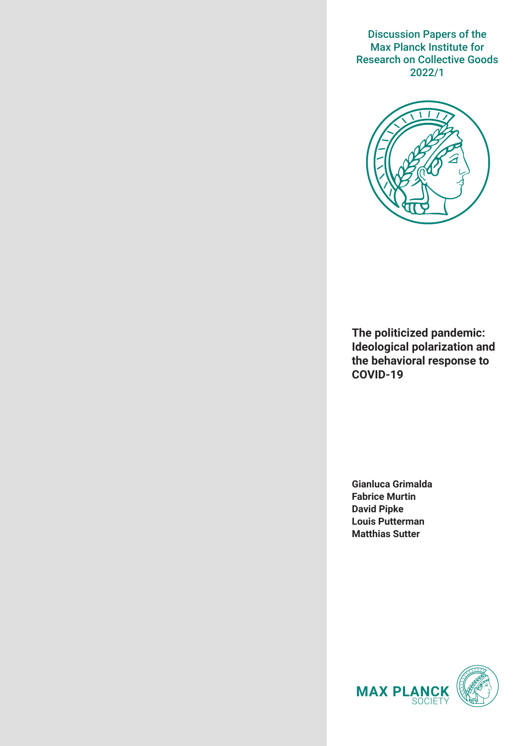Discussion Papers of the Max Planck Institute for Research on Collective Goods 2022/1



**The politicized pandemic: Ideological polarization and the behavioral response to COVID-19**

**Gianluca Grimalda Fabrice Murtin David Pipke Louis Putterman Matthias Sutter**

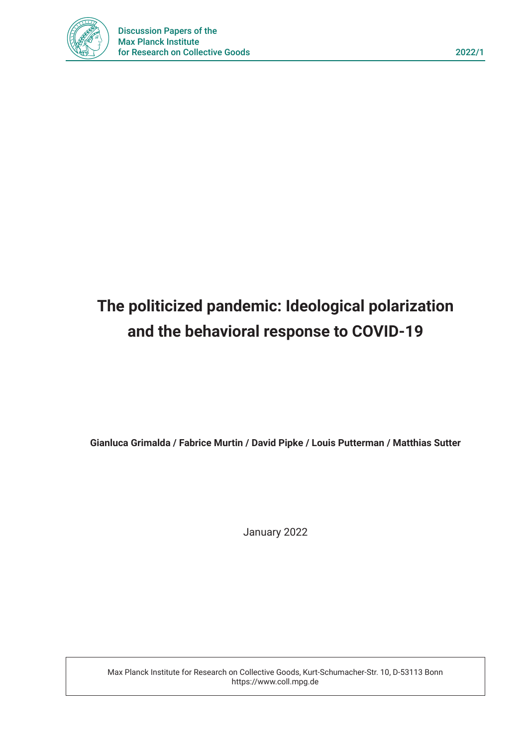

# **The politicized pandemic: Ideological polarization and the behavioral response to COVID-19**

**Gianluca Grimalda / Fabrice Murtin / David Pipke / Louis Putterman / Matthias Sutter**

January 2022

Max Planck Institute for Research on Collective Goods, Kurt-Schumacher-Str. 10, D-53113 Bonn https://www.coll.mpg.de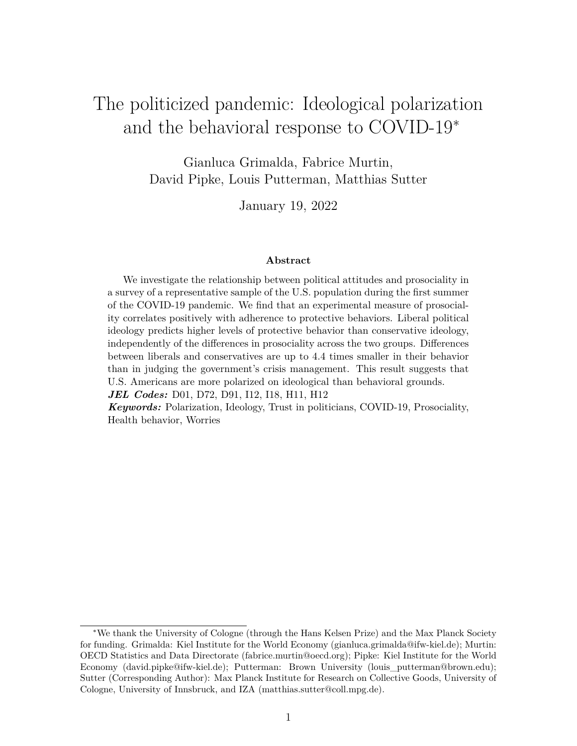## The politicized pandemic: Ideological polarization and the behavioral response to COVID-19<sup>∗</sup>

Gianluca Grimalda, Fabrice Murtin, David Pipke, Louis Putterman, Matthias Sutter

January 19, 2022

#### **Abstract**

We investigate the relationship between political attitudes and prosociality in a survey of a representative sample of the U.S. population during the first summer of the COVID-19 pandemic. We find that an experimental measure of prosociality correlates positively with adherence to protective behaviors. Liberal political ideology predicts higher levels of protective behavior than conservative ideology, independently of the differences in prosociality across the two groups. Differences between liberals and conservatives are up to 4.4 times smaller in their behavior than in judging the government's crisis management. This result suggests that U.S. Americans are more polarized on ideological than behavioral grounds.

*JEL Codes:* D01, D72, D91, I12, I18, H11, H12

*Keywords:* Polarization, Ideology, Trust in politicians, COVID-19, Prosociality, Health behavior, Worries

<sup>∗</sup>We thank the University of Cologne (through the Hans Kelsen Prize) and the Max Planck Society for funding. Grimalda: Kiel Institute for the World Economy (gianluca.grimalda@ifw-kiel.de); Murtin: OECD Statistics and Data Directorate (fabrice.murtin@oecd.org); Pipke: Kiel Institute for the World Economy (david.pipke@ifw-kiel.de); Putterman: Brown University (louis\_putterman@brown.edu); Sutter (Corresponding Author): Max Planck Institute for Research on Collective Goods, University of Cologne, University of Innsbruck, and IZA (matthias.sutter@coll.mpg.de).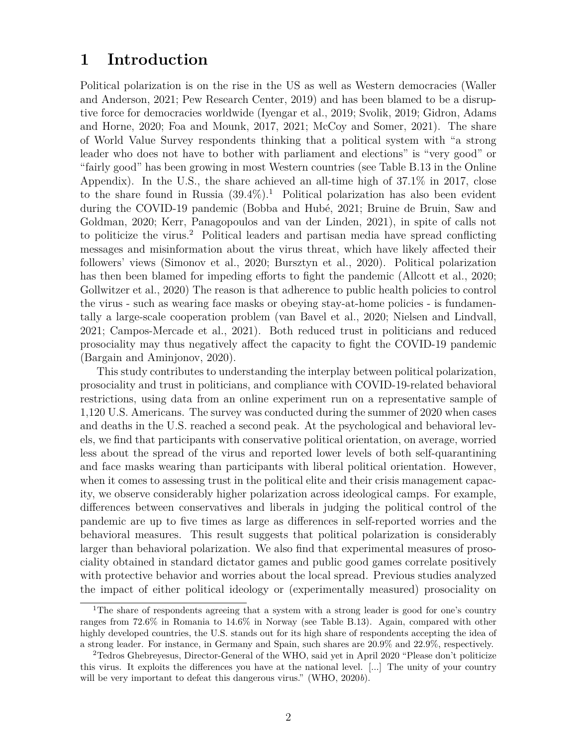## **1 Introduction**

Political polarization is on the rise in the US as well as Western democracies (Waller and Anderson, 2021; Pew Research Center, 2019) and has been blamed to be a disruptive force for democracies worldwide (Iyengar et al., 2019; Svolik, 2019; Gidron, Adams and Horne, 2020; Foa and Mounk, 2017, 2021; McCoy and Somer, 2021). The share of World Value Survey respondents thinking that a political system with "a strong leader who does not have to bother with parliament and elections" is "very good" or "fairly good" has been growing in most Western countries (see Table B.13 in the Online Appendix). In the U.S., the share achieved an all-time high of 37.1% in 2017, close to the share found in Russia  $(39.4\%)$ .<sup>1</sup> Political polarization has also been evident during the COVID-19 pandemic (Bobba and Hubé, 2021; Bruine de Bruin, Saw and Goldman, 2020; Kerr, Panagopoulos and van der Linden, 2021), in spite of calls not to politicize the virus.<sup>2</sup> Political leaders and partisan media have spread conflicting messages and misinformation about the virus threat, which have likely affected their followers' views (Simonov et al., 2020; Bursztyn et al., 2020). Political polarization has then been blamed for impeding efforts to fight the pandemic (Allcott et al., 2020; Gollwitzer et al., 2020) The reason is that adherence to public health policies to control the virus - such as wearing face masks or obeying stay-at-home policies - is fundamentally a large-scale cooperation problem (van Bavel et al., 2020; Nielsen and Lindvall, 2021; Campos-Mercade et al., 2021). Both reduced trust in politicians and reduced prosociality may thus negatively affect the capacity to fight the COVID-19 pandemic (Bargain and Aminjonov, 2020).

This study contributes to understanding the interplay between political polarization, prosociality and trust in politicians, and compliance with COVID-19-related behavioral restrictions, using data from an online experiment run on a representative sample of 1,120 U.S. Americans. The survey was conducted during the summer of 2020 when cases and deaths in the U.S. reached a second peak. At the psychological and behavioral levels, we find that participants with conservative political orientation, on average, worried less about the spread of the virus and reported lower levels of both self-quarantining and face masks wearing than participants with liberal political orientation. However, when it comes to assessing trust in the political elite and their crisis management capacity, we observe considerably higher polarization across ideological camps. For example, differences between conservatives and liberals in judging the political control of the pandemic are up to five times as large as differences in self-reported worries and the behavioral measures. This result suggests that political polarization is considerably larger than behavioral polarization. We also find that experimental measures of prosociality obtained in standard dictator games and public good games correlate positively with protective behavior and worries about the local spread. Previous studies analyzed the impact of either political ideology or (experimentally measured) prosociality on

<sup>&</sup>lt;sup>1</sup>The share of respondents agreeing that a system with a strong leader is good for one's country ranges from 72.6% in Romania to 14.6% in Norway (see Table B.13). Again, compared with other highly developed countries, the U.S. stands out for its high share of respondents accepting the idea of a strong leader. For instance, in Germany and Spain, such shares are 20.9% and 22.9%, respectively.

<sup>2</sup>Tedros Ghebreyesus, Director-General of the WHO, said yet in April 2020 "Please don't politicize this virus. It exploits the differences you have at the national level. [...] The unity of your country will be very important to defeat this dangerous virus." (WHO, 2020*b*).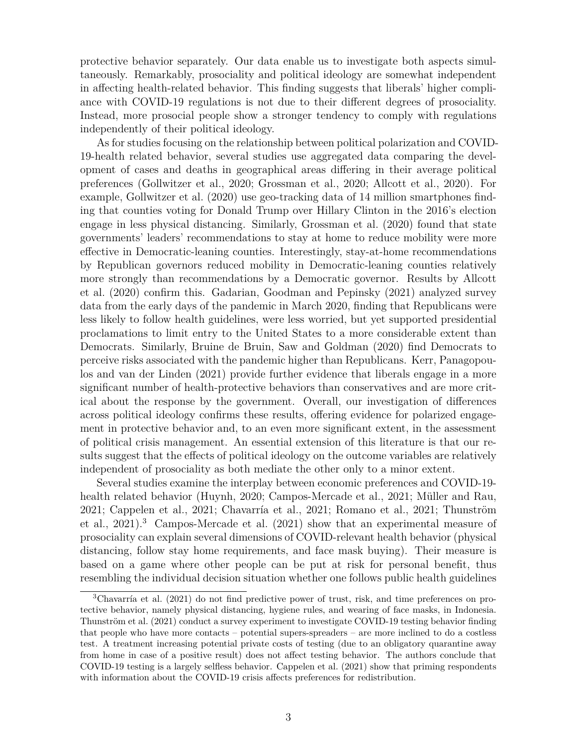protective behavior separately. Our data enable us to investigate both aspects simultaneously. Remarkably, prosociality and political ideology are somewhat independent in affecting health-related behavior. This finding suggests that liberals' higher compliance with COVID-19 regulations is not due to their different degrees of prosociality. Instead, more prosocial people show a stronger tendency to comply with regulations independently of their political ideology.

As for studies focusing on the relationship between political polarization and COVID-19-health related behavior, several studies use aggregated data comparing the development of cases and deaths in geographical areas differing in their average political preferences (Gollwitzer et al., 2020; Grossman et al., 2020; Allcott et al., 2020). For example, Gollwitzer et al. (2020) use geo-tracking data of 14 million smartphones finding that counties voting for Donald Trump over Hillary Clinton in the 2016's election engage in less physical distancing. Similarly, Grossman et al. (2020) found that state governments' leaders' recommendations to stay at home to reduce mobility were more effective in Democratic-leaning counties. Interestingly, stay-at-home recommendations by Republican governors reduced mobility in Democratic-leaning counties relatively more strongly than recommendations by a Democratic governor. Results by Allcott et al. (2020) confirm this. Gadarian, Goodman and Pepinsky (2021) analyzed survey data from the early days of the pandemic in March 2020, finding that Republicans were less likely to follow health guidelines, were less worried, but yet supported presidential proclamations to limit entry to the United States to a more considerable extent than Democrats. Similarly, Bruine de Bruin, Saw and Goldman (2020) find Democrats to perceive risks associated with the pandemic higher than Republicans. Kerr, Panagopoulos and van der Linden (2021) provide further evidence that liberals engage in a more significant number of health-protective behaviors than conservatives and are more critical about the response by the government. Overall, our investigation of differences across political ideology confirms these results, offering evidence for polarized engagement in protective behavior and, to an even more significant extent, in the assessment of political crisis management. An essential extension of this literature is that our results suggest that the effects of political ideology on the outcome variables are relatively independent of prosociality as both mediate the other only to a minor extent.

Several studies examine the interplay between economic preferences and COVID-19 health related behavior (Huynh, 2020; Campos-Mercade et al., 2021; Müller and Rau, 2021; Cappelen et al., 2021; Chavarría et al., 2021; Romano et al., 2021; Thunström et al., 2021).<sup>3</sup> Campos-Mercade et al. (2021) show that an experimental measure of prosociality can explain several dimensions of COVID-relevant health behavior (physical distancing, follow stay home requirements, and face mask buying). Their measure is based on a game where other people can be put at risk for personal benefit, thus resembling the individual decision situation whether one follows public health guidelines

<sup>3</sup>Chavarría et al. (2021) do not find predictive power of trust, risk, and time preferences on protective behavior, namely physical distancing, hygiene rules, and wearing of face masks, in Indonesia. Thunström et al. (2021) conduct a survey experiment to investigate COVID-19 testing behavior finding that people who have more contacts – potential supers-spreaders – are more inclined to do a costless test. A treatment increasing potential private costs of testing (due to an obligatory quarantine away from home in case of a positive result) does not affect testing behavior. The authors conclude that COVID-19 testing is a largely selfless behavior. Cappelen et al. (2021) show that priming respondents with information about the COVID-19 crisis affects preferences for redistribution.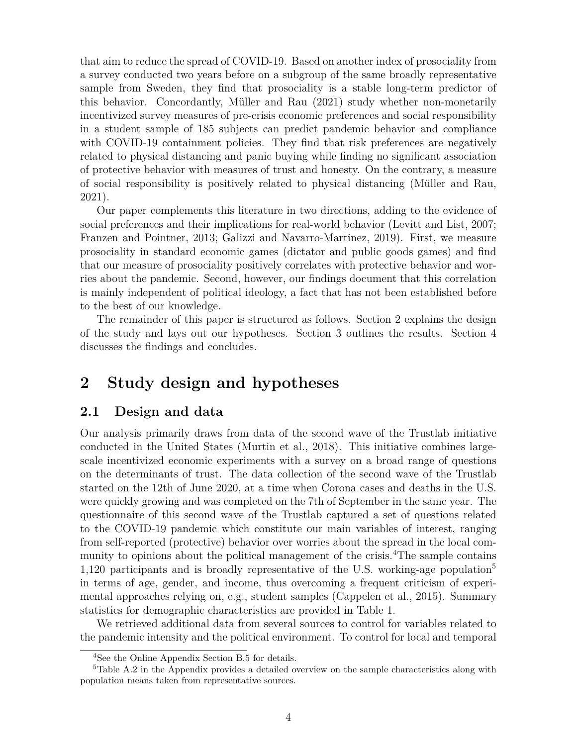that aim to reduce the spread of COVID-19. Based on another index of prosociality from a survey conducted two years before on a subgroup of the same broadly representative sample from Sweden, they find that prosociality is a stable long-term predictor of this behavior. Concordantly, Müller and Rau (2021) study whether non-monetarily incentivized survey measures of pre-crisis economic preferences and social responsibility in a student sample of 185 subjects can predict pandemic behavior and compliance with COVID-19 containment policies. They find that risk preferences are negatively related to physical distancing and panic buying while finding no significant association of protective behavior with measures of trust and honesty. On the contrary, a measure of social responsibility is positively related to physical distancing (Müller and Rau, 2021).

Our paper complements this literature in two directions, adding to the evidence of social preferences and their implications for real-world behavior (Levitt and List, 2007; Franzen and Pointner, 2013; Galizzi and Navarro-Martinez, 2019). First, we measure prosociality in standard economic games (dictator and public goods games) and find that our measure of prosociality positively correlates with protective behavior and worries about the pandemic. Second, however, our findings document that this correlation is mainly independent of political ideology, a fact that has not been established before to the best of our knowledge.

The remainder of this paper is structured as follows. Section 2 explains the design of the study and lays out our hypotheses. Section 3 outlines the results. Section 4 discusses the findings and concludes.

## **2 Study design and hypotheses**

### **2.1 Design and data**

Our analysis primarily draws from data of the second wave of the Trustlab initiative conducted in the United States (Murtin et al., 2018). This initiative combines largescale incentivized economic experiments with a survey on a broad range of questions on the determinants of trust. The data collection of the second wave of the Trustlab started on the 12th of June 2020, at a time when Corona cases and deaths in the U.S. were quickly growing and was completed on the 7th of September in the same year. The questionnaire of this second wave of the Trustlab captured a set of questions related to the COVID-19 pandemic which constitute our main variables of interest, ranging from self-reported (protective) behavior over worries about the spread in the local community to opinions about the political management of the crisis.<sup>4</sup>The sample contains 1,120 participants and is broadly representative of the U.S. working-age population<sup>5</sup> in terms of age, gender, and income, thus overcoming a frequent criticism of experimental approaches relying on, e.g., student samples (Cappelen et al., 2015). Summary statistics for demographic characteristics are provided in Table 1.

We retrieved additional data from several sources to control for variables related to the pandemic intensity and the political environment. To control for local and temporal

<sup>4</sup>See the Online Appendix Section B.5 for details.

 ${}^{5}$ Table A.2 in the Appendix provides a detailed overview on the sample characteristics along with population means taken from representative sources.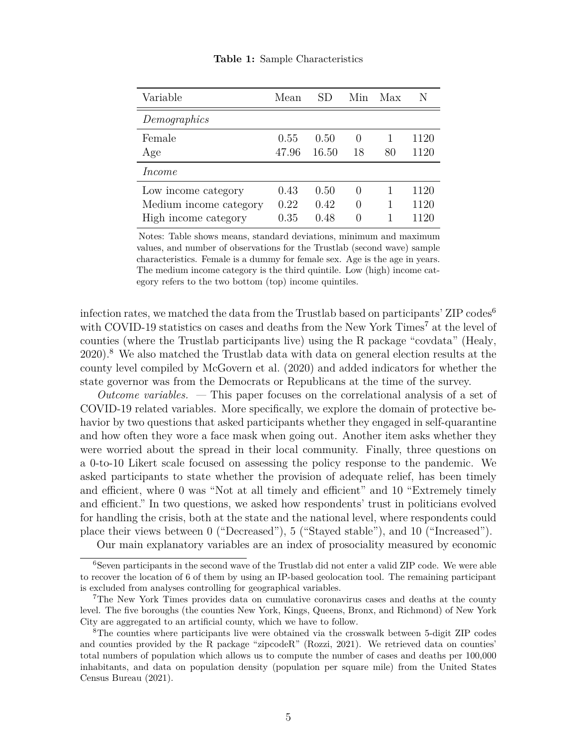| Variable                                                              | Mean                 | SD                   | Min                                              | Max | N                    |
|-----------------------------------------------------------------------|----------------------|----------------------|--------------------------------------------------|-----|----------------------|
| Demographics                                                          |                      |                      |                                                  |     |                      |
| Female<br>Age                                                         | 0.55<br>47.96        | 0.50<br>16.50        | $\theta$<br>18                                   | 80  | 1120<br>1120         |
| Income                                                                |                      |                      |                                                  |     |                      |
| Low income category<br>Medium income category<br>High income category | 0.43<br>0.22<br>0.35 | 0.50<br>0.42<br>0.48 | $\left( \right)$<br>$\Omega$<br>$\left( \right)$ |     | 1120<br>1120<br>1120 |

**Table 1:** Sample Characteristics

Notes: Table shows means, standard deviations, minimum and maximum values, and number of observations for the Trustlab (second wave) sample characteristics. Female is a dummy for female sex. Age is the age in years. The medium income category is the third quintile. Low (high) income category refers to the two bottom (top) income quintiles.

infection rates, we matched the data from the Trustlab based on participants' ZIP codes<sup>6</sup> with COVID-19 statistics on cases and deaths from the New York Times<sup>7</sup> at the level of counties (where the Trustlab participants live) using the R package "covdata" (Healy, 2020).<sup>8</sup> We also matched the Trustlab data with data on general election results at the county level compiled by McGovern et al. (2020) and added indicators for whether the state governor was from the Democrats or Republicans at the time of the survey.

*Outcome variables. —* This paper focuses on the correlational analysis of a set of COVID-19 related variables. More specifically, we explore the domain of protective behavior by two questions that asked participants whether they engaged in self-quarantine and how often they wore a face mask when going out. Another item asks whether they were worried about the spread in their local community. Finally, three questions on a 0-to-10 Likert scale focused on assessing the policy response to the pandemic. We asked participants to state whether the provision of adequate relief, has been timely and efficient, where 0 was "Not at all timely and efficient" and 10 "Extremely timely and efficient." In two questions, we asked how respondents' trust in politicians evolved for handling the crisis, both at the state and the national level, where respondents could place their views between 0 ("Decreased"), 5 ("Stayed stable"), and 10 ("Increased").

Our main explanatory variables are an index of prosociality measured by economic

<sup>6</sup>Seven participants in the second wave of the Trustlab did not enter a valid ZIP code. We were able to recover the location of 6 of them by using an IP-based geolocation tool. The remaining participant is excluded from analyses controlling for geographical variables.

<sup>7</sup>The New York Times provides data on cumulative coronavirus cases and deaths at the county level. The five boroughs (the counties New York, Kings, Queens, Bronx, and Richmond) of New York City are aggregated to an artificial county, which we have to follow.

<sup>8</sup>The counties where participants live were obtained via the crosswalk between 5-digit ZIP codes and counties provided by the R package "zipcodeR" (Rozzi, 2021). We retrieved data on counties' total numbers of population which allows us to compute the number of cases and deaths per 100,000 inhabitants, and data on population density (population per square mile) from the United States Census Bureau (2021).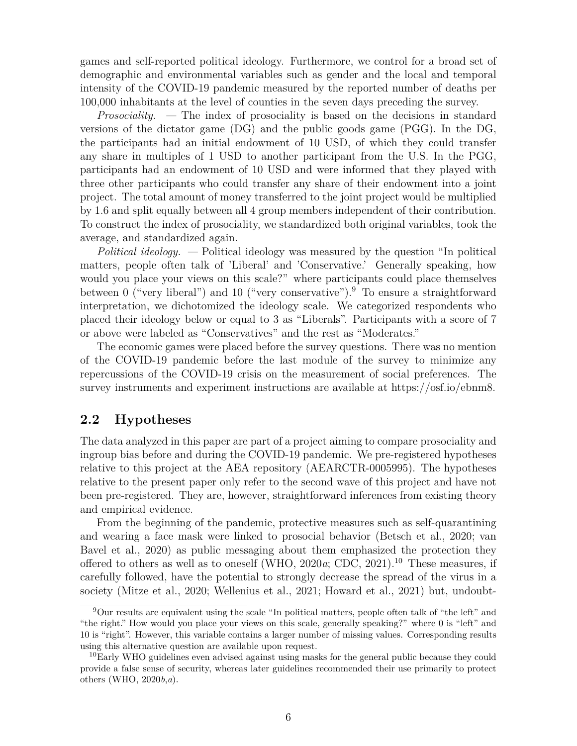games and self-reported political ideology. Furthermore, we control for a broad set of demographic and environmental variables such as gender and the local and temporal intensity of the COVID-19 pandemic measured by the reported number of deaths per 100,000 inhabitants at the level of counties in the seven days preceding the survey.

*Prosociality. —* The index of prosociality is based on the decisions in standard versions of the dictator game (DG) and the public goods game (PGG). In the DG, the participants had an initial endowment of 10 USD, of which they could transfer any share in multiples of 1 USD to another participant from the U.S. In the PGG, participants had an endowment of 10 USD and were informed that they played with three other participants who could transfer any share of their endowment into a joint project. The total amount of money transferred to the joint project would be multiplied by 1.6 and split equally between all 4 group members independent of their contribution. To construct the index of prosociality, we standardized both original variables, took the average, and standardized again.

*Political ideology. —* Political ideology was measured by the question "In political matters, people often talk of 'Liberal' and 'Conservative.' Generally speaking, how would you place your views on this scale?" where participants could place themselves between 0 ("very liberal") and 10 ("very conservative").<sup>9</sup> To ensure a straightforward interpretation, we dichotomized the ideology scale. We categorized respondents who placed their ideology below or equal to 3 as "Liberals". Participants with a score of 7 or above were labeled as "Conservatives" and the rest as "Moderates."

The economic games were placed before the survey questions. There was no mention of the COVID-19 pandemic before the last module of the survey to minimize any repercussions of the COVID-19 crisis on the measurement of social preferences. The survey instruments and experiment instructions are available at https://osf.io/ebnm8.

### **2.2 Hypotheses**

The data analyzed in this paper are part of a project aiming to compare prosociality and ingroup bias before and during the COVID-19 pandemic. We pre-registered hypotheses relative to this project at the AEA repository (AEARCTR-0005995). The hypotheses relative to the present paper only refer to the second wave of this project and have not been pre-registered. They are, however, straightforward inferences from existing theory and empirical evidence.

From the beginning of the pandemic, protective measures such as self-quarantining and wearing a face mask were linked to prosocial behavior (Betsch et al., 2020; van Bavel et al., 2020) as public messaging about them emphasized the protection they offered to others as well as to oneself (WHO,  $2020a$ ; CDC,  $2021$ ).<sup>10</sup> These measures, if carefully followed, have the potential to strongly decrease the spread of the virus in a society (Mitze et al., 2020; Wellenius et al., 2021; Howard et al., 2021) but, undoubt-

<sup>9</sup>Our results are equivalent using the scale "In political matters, people often talk of "the left" and "the right." How would you place your views on this scale, generally speaking?" where 0 is "left" and 10 is "right". However, this variable contains a larger number of missing values. Corresponding results using this alternative question are available upon request.

<sup>&</sup>lt;sup>10</sup>Early WHO guidelines even advised against using masks for the general public because they could provide a false sense of security, whereas later guidelines recommended their use primarily to protect others (WHO, 2020*b*,*a*).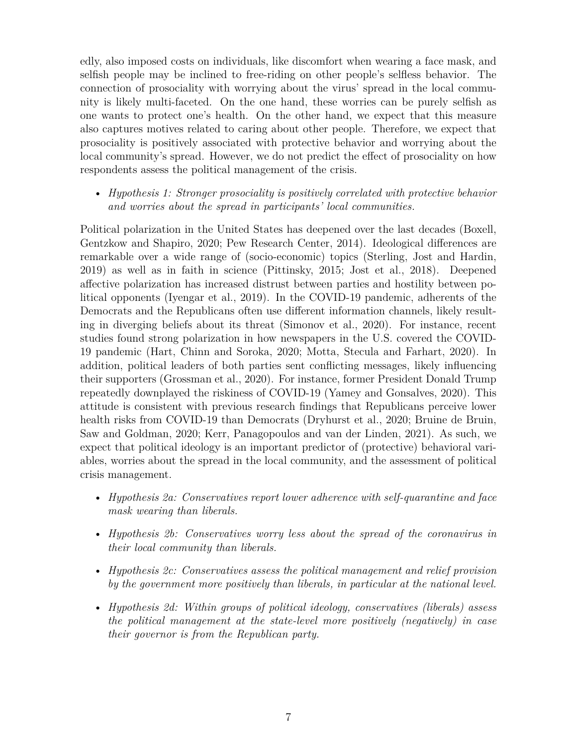edly, also imposed costs on individuals, like discomfort when wearing a face mask, and selfish people may be inclined to free-riding on other people's selfless behavior. The connection of prosociality with worrying about the virus' spread in the local community is likely multi-faceted. On the one hand, these worries can be purely selfish as one wants to protect one's health. On the other hand, we expect that this measure also captures motives related to caring about other people. Therefore, we expect that prosociality is positively associated with protective behavior and worrying about the local community's spread. However, we do not predict the effect of prosociality on how respondents assess the political management of the crisis.

• *Hypothesis 1: Stronger prosociality is positively correlated with protective behavior and worries about the spread in participants' local communities.*

Political polarization in the United States has deepened over the last decades (Boxell, Gentzkow and Shapiro, 2020; Pew Research Center, 2014). Ideological differences are remarkable over a wide range of (socio-economic) topics (Sterling, Jost and Hardin, 2019) as well as in faith in science (Pittinsky, 2015; Jost et al., 2018). Deepened affective polarization has increased distrust between parties and hostility between political opponents (Iyengar et al., 2019). In the COVID-19 pandemic, adherents of the Democrats and the Republicans often use different information channels, likely resulting in diverging beliefs about its threat (Simonov et al., 2020). For instance, recent studies found strong polarization in how newspapers in the U.S. covered the COVID-19 pandemic (Hart, Chinn and Soroka, 2020; Motta, Stecula and Farhart, 2020). In addition, political leaders of both parties sent conflicting messages, likely influencing their supporters (Grossman et al., 2020). For instance, former President Donald Trump repeatedly downplayed the riskiness of COVID-19 (Yamey and Gonsalves, 2020). This attitude is consistent with previous research findings that Republicans perceive lower health risks from COVID-19 than Democrats (Dryhurst et al., 2020; Bruine de Bruin, Saw and Goldman, 2020; Kerr, Panagopoulos and van der Linden, 2021). As such, we expect that political ideology is an important predictor of (protective) behavioral variables, worries about the spread in the local community, and the assessment of political crisis management.

- *Hypothesis 2a: Conservatives report lower adherence with self-quarantine and face mask wearing than liberals.*
- *Hypothesis 2b: Conservatives worry less about the spread of the coronavirus in their local community than liberals.*
- *Hypothesis 2c: Conservatives assess the political management and relief provision by the government more positively than liberals, in particular at the national level.*
- *Hypothesis 2d: Within groups of political ideology, conservatives (liberals) assess the political management at the state-level more positively (negatively) in case their governor is from the Republican party.*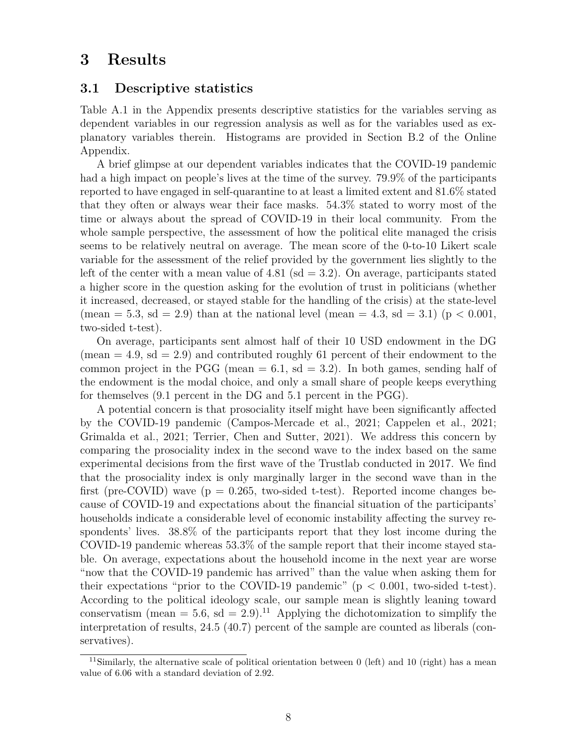## **3 Results**

### **3.1 Descriptive statistics**

Table A.1 in the Appendix presents descriptive statistics for the variables serving as dependent variables in our regression analysis as well as for the variables used as explanatory variables therein. Histograms are provided in Section B.2 of the Online Appendix.

A brief glimpse at our dependent variables indicates that the COVID-19 pandemic had a high impact on people's lives at the time of the survey. 79.9% of the participants reported to have engaged in self-quarantine to at least a limited extent and 81.6% stated that they often or always wear their face masks. 54.3% stated to worry most of the time or always about the spread of COVID-19 in their local community. From the whole sample perspective, the assessment of how the political elite managed the crisis seems to be relatively neutral on average. The mean score of the 0-to-10 Likert scale variable for the assessment of the relief provided by the government lies slightly to the left of the center with a mean value of  $4.81$  (sd = 3.2). On average, participants stated a higher score in the question asking for the evolution of trust in politicians (whether it increased, decreased, or stayed stable for the handling of the crisis) at the state-level (mean = 5.3, sd = 2.9) than at the national level (mean = 4.3, sd = 3.1) ( $p < 0.001$ , two-sided t-test).

On average, participants sent almost half of their 10 USD endowment in the DG (mean  $= 4.9$ , sd  $= 2.9$ ) and contributed roughly 61 percent of their endowment to the common project in the PGG (mean  $= 6.1$ , sd  $= 3.2$ ). In both games, sending half of the endowment is the modal choice, and only a small share of people keeps everything for themselves (9.1 percent in the DG and 5.1 percent in the PGG).

A potential concern is that prosociality itself might have been significantly affected by the COVID-19 pandemic (Campos-Mercade et al., 2021; Cappelen et al., 2021; Grimalda et al., 2021; Terrier, Chen and Sutter, 2021). We address this concern by comparing the prosociality index in the second wave to the index based on the same experimental decisions from the first wave of the Trustlab conducted in 2017. We find that the prosociality index is only marginally larger in the second wave than in the first (pre-COVID) wave ( $p = 0.265$ , two-sided t-test). Reported income changes because of COVID-19 and expectations about the financial situation of the participants' households indicate a considerable level of economic instability affecting the survey respondents' lives. 38.8% of the participants report that they lost income during the COVID-19 pandemic whereas 53.3% of the sample report that their income stayed stable. On average, expectations about the household income in the next year are worse "now that the COVID-19 pandemic has arrived" than the value when asking them for their expectations "prior to the COVID-19 pandemic" ( $p < 0.001$ , two-sided t-test). According to the political ideology scale, our sample mean is slightly leaning toward conservatism (mean  $= 5.6$ , sd  $= 2.9$ ).<sup>11</sup> Applying the dichotomization to simplify the interpretation of results, 24.5 (40.7) percent of the sample are counted as liberals (conservatives).

<sup>&</sup>lt;sup>11</sup>Similarly, the alternative scale of political orientation between 0 (left) and 10 (right) has a mean value of 6.06 with a standard deviation of 2.92.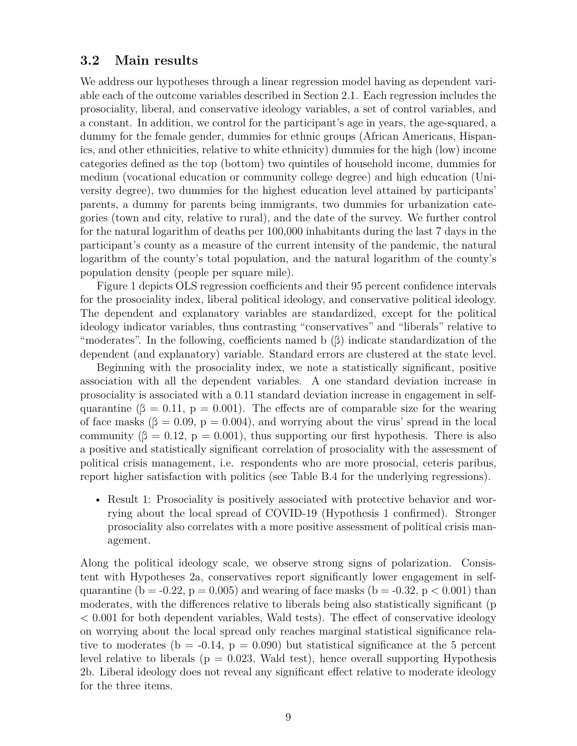### **3.2 Main results**

We address our hypotheses through a linear regression model having as dependent variable each of the outcome variables described in Section 2.1. Each regression includes the prosociality, liberal, and conservative ideology variables, a set of control variables, and a constant. In addition, we control for the participant's age in years, the age-squared, a dummy for the female gender, dummies for ethnic groups (African Americans, Hispanics, and other ethnicities, relative to white ethnicity) dummies for the high (low) income categories defined as the top (bottom) two quintiles of household income, dummies for medium (vocational education or community college degree) and high education (University degree), two dummies for the highest education level attained by participants' parents, a dummy for parents being immigrants, two dummies for urbanization categories (town and city, relative to rural), and the date of the survey. We further control for the natural logarithm of deaths per 100,000 inhabitants during the last 7 days in the participant's county as a measure of the current intensity of the pandemic, the natural logarithm of the county's total population, and the natural logarithm of the county's population density (people per square mile).

Figure 1 depicts OLS regression coefficients and their 95 percent confidence intervals for the prosociality index, liberal political ideology, and conservative political ideology. The dependent and explanatory variables are standardized, except for the political ideology indicator variables, thus contrasting "conservatives" and "liberals" relative to "moderates". In the following, coefficients named b  $(\beta)$  indicate standardization of the dependent (and explanatory) variable. Standard errors are clustered at the state level.

Beginning with the prosociality index, we note a statistically significant, positive association with all the dependent variables. A one standard deviation increase in prosociality is associated with a 0.11 standard deviation increase in engagement in selfquarantine ( $\beta = 0.11$ ,  $p = 0.001$ ). The effects are of comparable size for the wearing of face masks ( $\beta = 0.09$ ,  $p = 0.004$ ), and worrying about the virus' spread in the local community  $(\beta = 0.12, p = 0.001)$ , thus supporting our first hypothesis. There is also a positive and statistically significant correlation of prosociality with the assessment of political crisis management, i.e. respondents who are more prosocial, ceteris paribus, report higher satisfaction with politics (see Table B.4 for the underlying regressions).

• Result 1: Prosociality is positively associated with protective behavior and worrying about the local spread of COVID-19 (Hypothesis 1 confirmed). Stronger prosociality also correlates with a more positive assessment of political crisis management.

Along the political ideology scale, we observe strong signs of polarization. Consistent with Hypotheses 2a, conservatives report significantly lower engagement in selfquarantine (b = -0.22, p = 0.005) and wearing of face masks (b = -0.32, p < 0.001) than moderates, with the differences relative to liberals being also statistically significant (p < 0.001 for both dependent variables, Wald tests). The effect of conservative ideology on worrying about the local spread only reaches marginal statistical significance relative to moderates (b =  $-0.14$ , p = 0.090) but statistical significance at the 5 percent level relative to liberals ( $p = 0.023$ , Wald test), hence overall supporting Hypothesis 2b. Liberal ideology does not reveal any significant effect relative to moderate ideology for the three items.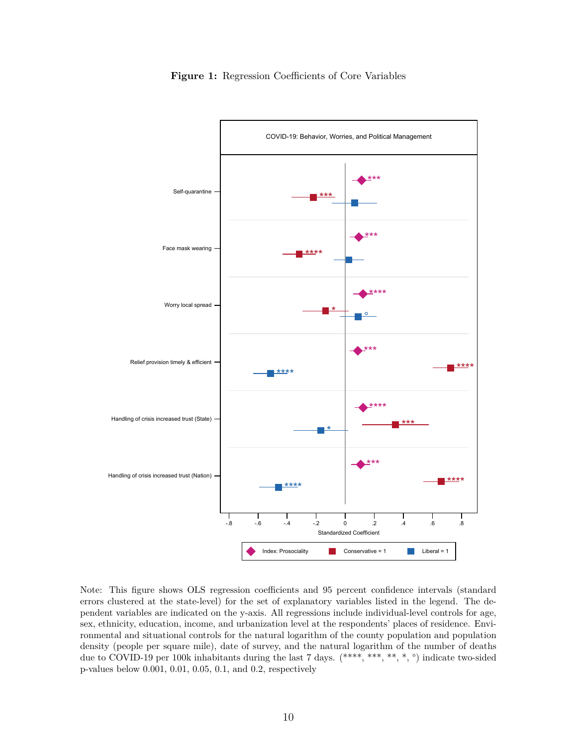

**Figure 1:** Regression Coefficients of Core Variables

Note: This figure shows OLS regression coefficients and 95 percent confidence intervals (standard errors clustered at the state-level) for the set of explanatory variables listed in the legend. The dependent variables are indicated on the y-axis. All regressions include individual-level controls for age, sex, ethnicity, education, income, and urbanization level at the respondents' places of residence. Environmental and situational controls for the natural logarithm of the county population and population density (people per square mile), date of survey, and the natural logarithm of the number of deaths due to COVID-19 per 100k inhabitants during the last 7 days. (\*\*\*\*, \*\*\*, \*\*, \*, °) indicate two-sided p-values below 0.001, 0.01, 0.05, 0.1, and 0.2, respectively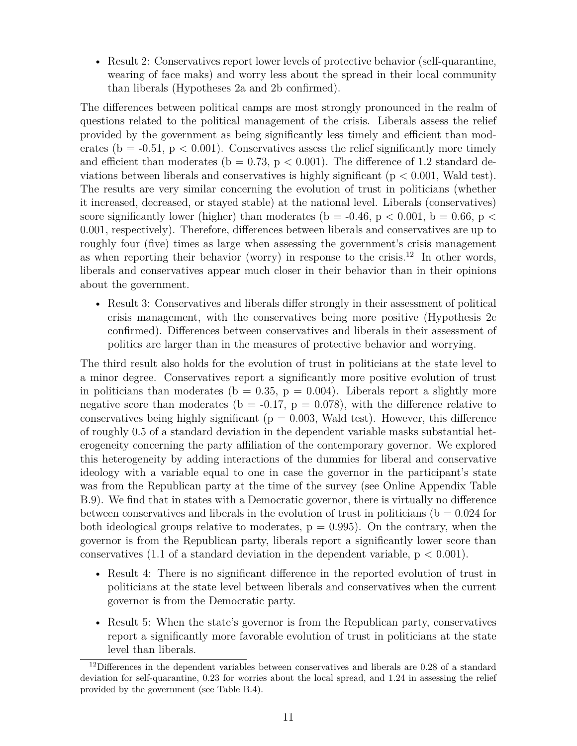• Result 2: Conservatives report lower levels of protective behavior (self-quarantine, wearing of face maks) and worry less about the spread in their local community than liberals (Hypotheses 2a and 2b confirmed).

The differences between political camps are most strongly pronounced in the realm of questions related to the political management of the crisis. Liberals assess the relief provided by the government as being significantly less timely and efficient than moderates ( $b = -0.51$ ,  $p < 0.001$ ). Conservatives assess the relief significantly more timely and efficient than moderates ( $b = 0.73$ ,  $p < 0.001$ ). The difference of 1.2 standard deviations between liberals and conservatives is highly significant ( $p < 0.001$ , Wald test). The results are very similar concerning the evolution of trust in politicians (whether it increased, decreased, or stayed stable) at the national level. Liberals (conservatives) score significantly lower (higher) than moderates (b = -0.46, p < 0.001, b = 0.66, p < 0.001, respectively). Therefore, differences between liberals and conservatives are up to roughly four (five) times as large when assessing the government's crisis management as when reporting their behavior (worry) in response to the crisis.<sup>12</sup> In other words, liberals and conservatives appear much closer in their behavior than in their opinions about the government.

• Result 3: Conservatives and liberals differ strongly in their assessment of political crisis management, with the conservatives being more positive (Hypothesis 2c confirmed). Differences between conservatives and liberals in their assessment of politics are larger than in the measures of protective behavior and worrying.

The third result also holds for the evolution of trust in politicians at the state level to a minor degree. Conservatives report a significantly more positive evolution of trust in politicians than moderates ( $b = 0.35$ ,  $p = 0.004$ ). Liberals report a slightly more negative score than moderates ( $b = -0.17$ ,  $p = 0.078$ ), with the difference relative to conservatives being highly significant ( $p = 0.003$ , Wald test). However, this difference of roughly 0.5 of a standard deviation in the dependent variable masks substantial heterogeneity concerning the party affiliation of the contemporary governor. We explored this heterogeneity by adding interactions of the dummies for liberal and conservative ideology with a variable equal to one in case the governor in the participant's state was from the Republican party at the time of the survey (see Online Appendix Table B.9). We find that in states with a Democratic governor, there is virtually no difference between conservatives and liberals in the evolution of trust in politicians ( $b = 0.024$  for both ideological groups relative to moderates,  $p = 0.995$ . On the contrary, when the governor is from the Republican party, liberals report a significantly lower score than conservatives (1.1 of a standard deviation in the dependent variable,  $p < 0.001$ ).

- Result 4: There is no significant difference in the reported evolution of trust in politicians at the state level between liberals and conservatives when the current governor is from the Democratic party.
- Result 5: When the state's governor is from the Republican party, conservatives report a significantly more favorable evolution of trust in politicians at the state level than liberals.

 $12$ Differences in the dependent variables between conservatives and liberals are 0.28 of a standard deviation for self-quarantine, 0.23 for worries about the local spread, and 1.24 in assessing the relief provided by the government (see Table B.4).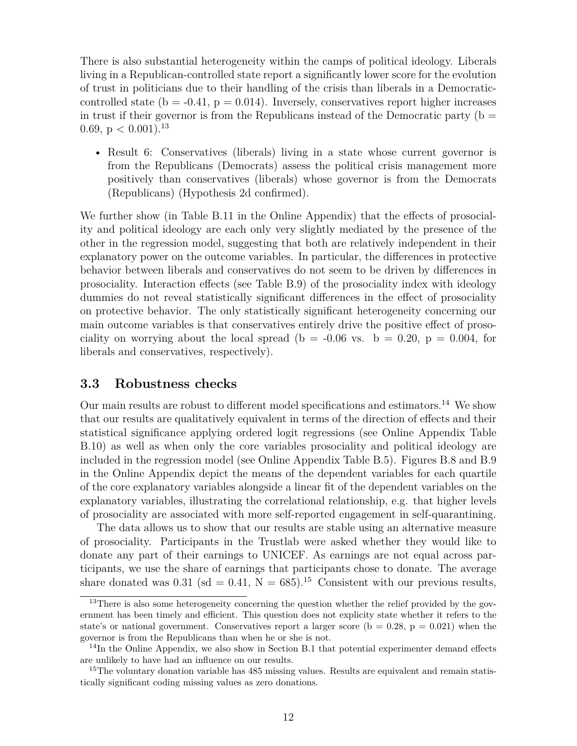There is also substantial heterogeneity within the camps of political ideology. Liberals living in a Republican-controlled state report a significantly lower score for the evolution of trust in politicians due to their handling of the crisis than liberals in a Democraticcontrolled state ( $b = -0.41$ ,  $p = 0.014$ ). Inversely, conservatives report higher increases in trust if their governor is from the Republicans instead of the Democratic party ( $b =$ 0.69,  $p < 0.001$ ).<sup>13</sup>

• Result 6: Conservatives (liberals) living in a state whose current governor is from the Republicans (Democrats) assess the political crisis management more positively than conservatives (liberals) whose governor is from the Democrats (Republicans) (Hypothesis 2d confirmed).

We further show (in Table B.11 in the Online Appendix) that the effects of prosociality and political ideology are each only very slightly mediated by the presence of the other in the regression model, suggesting that both are relatively independent in their explanatory power on the outcome variables. In particular, the differences in protective behavior between liberals and conservatives do not seem to be driven by differences in prosociality. Interaction effects (see Table B.9) of the prosociality index with ideology dummies do not reveal statistically significant differences in the effect of prosociality on protective behavior. The only statistically significant heterogeneity concerning our main outcome variables is that conservatives entirely drive the positive effect of prosociality on worrying about the local spread (b =  $-0.06$  vs. b = 0.20, p = 0.004, for liberals and conservatives, respectively).

### **3.3 Robustness checks**

Our main results are robust to different model specifications and estimators.<sup>14</sup> We show that our results are qualitatively equivalent in terms of the direction of effects and their statistical significance applying ordered logit regressions (see Online Appendix Table B.10) as well as when only the core variables prosociality and political ideology are included in the regression model (see Online Appendix Table B.5). Figures B.8 and B.9 in the Online Appendix depict the means of the dependent variables for each quartile of the core explanatory variables alongside a linear fit of the dependent variables on the explanatory variables, illustrating the correlational relationship, e.g. that higher levels of prosociality are associated with more self-reported engagement in self-quarantining.

The data allows us to show that our results are stable using an alternative measure of prosociality. Participants in the Trustlab were asked whether they would like to donate any part of their earnings to UNICEF. As earnings are not equal across participants, we use the share of earnings that participants chose to donate. The average share donated was 0.31 (sd = 0.41,  $N = 685$ ).<sup>15</sup> Consistent with our previous results,

<sup>&</sup>lt;sup>13</sup>There is also some heterogeneity concerning the question whether the relief provided by the government has been timely and efficient. This question does not explicity state whether it refers to the state's or national government. Conservatives report a larger score ( $b = 0.28$ ,  $p = 0.021$ ) when the governor is from the Republicans than when he or she is not.

 $14$ In the Online Appendix, we also show in Section B.1 that potential experimenter demand effects are unlikely to have had an influence on our results.

<sup>&</sup>lt;sup>15</sup>The voluntary donation variable has 485 missing values. Results are equivalent and remain statistically significant coding missing values as zero donations.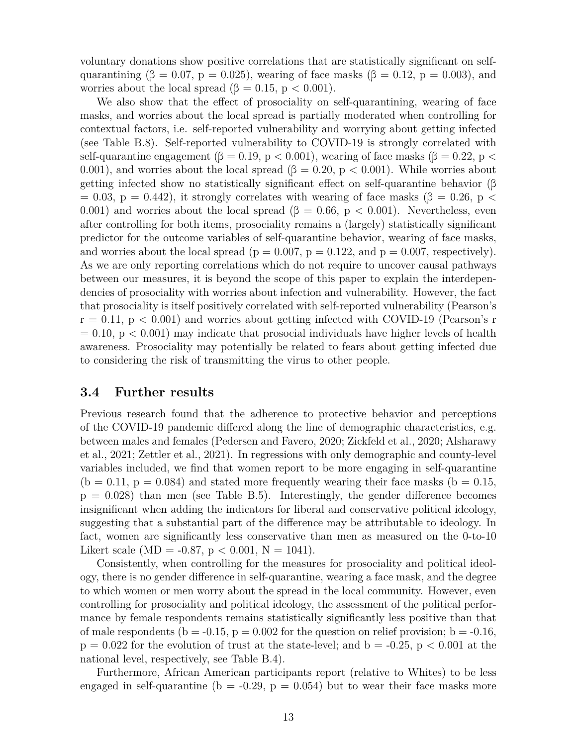voluntary donations show positive correlations that are statistically significant on selfquarantining ( $\beta = 0.07$ , p = 0.025), wearing of face masks ( $\beta = 0.12$ , p = 0.003), and worries about the local spread ( $\beta = 0.15$ , p < 0.001).

We also show that the effect of prosociality on self-quarantining, wearing of face masks, and worries about the local spread is partially moderated when controlling for contextual factors, i.e. self-reported vulnerability and worrying about getting infected (see Table B.8). Self-reported vulnerability to COVID-19 is strongly correlated with self-quarantine engagement ( $\beta = 0.19$ , p < 0.001), wearing of face masks ( $\beta = 0.22$ , p < 0.001), and worries about the local spread ( $\beta = 0.20$ , p < 0.001). While worries about getting infected show no statistically significant effect on self-quarantine behavior (β  $= 0.03$ ,  $p = 0.442$ ), it strongly correlates with wearing of face masks ( $\beta = 0.26$ , p < 0.001) and worries about the local spread ( $\beta = 0.66$ , p < 0.001). Nevertheless, even after controlling for both items, prosociality remains a (largely) statistically significant predictor for the outcome variables of self-quarantine behavior, wearing of face masks, and worries about the local spread ( $p = 0.007$ ,  $p = 0.122$ , and  $p = 0.007$ , respectively). As we are only reporting correlations which do not require to uncover causal pathways between our measures, it is beyond the scope of this paper to explain the interdependencies of prosociality with worries about infection and vulnerability. However, the fact that prosociality is itself positively correlated with self-reported vulnerability (Pearson's  $r = 0.11$ ,  $p < 0.001$ ) and worries about getting infected with COVID-19 (Pearson's r  $= 0.10$ , p  $< 0.001$ ) may indicate that prosocial individuals have higher levels of health awareness. Prosociality may potentially be related to fears about getting infected due to considering the risk of transmitting the virus to other people.

#### **3.4 Further results**

Previous research found that the adherence to protective behavior and perceptions of the COVID-19 pandemic differed along the line of demographic characteristics, e.g. between males and females (Pedersen and Favero, 2020; Zickfeld et al., 2020; Alsharawy et al., 2021; Zettler et al., 2021). In regressions with only demographic and county-level variables included, we find that women report to be more engaging in self-quarantine  $(b = 0.11, p = 0.084)$  and stated more frequently wearing their face masks  $(b = 0.15,$  $p = 0.028$ ) than men (see Table B.5). Interestingly, the gender difference becomes insignificant when adding the indicators for liberal and conservative political ideology, suggesting that a substantial part of the difference may be attributable to ideology. In fact, women are significantly less conservative than men as measured on the 0-to-10 Likert scale (MD =  $-0.87$ , p < 0.001, N = 1041).

Consistently, when controlling for the measures for prosociality and political ideology, there is no gender difference in self-quarantine, wearing a face mask, and the degree to which women or men worry about the spread in the local community. However, even controlling for prosociality and political ideology, the assessment of the political performance by female respondents remains statistically significantly less positive than that of male respondents ( $b = -0.15$ ,  $p = 0.002$  for the question on relief provision;  $b = -0.16$ ,  $p = 0.022$  for the evolution of trust at the state-level; and  $b = -0.25$ ,  $p < 0.001$  at the national level, respectively, see Table B.4).

Furthermore, African American participants report (relative to Whites) to be less engaged in self-quarantine (b =  $-0.29$ , p = 0.054) but to wear their face masks more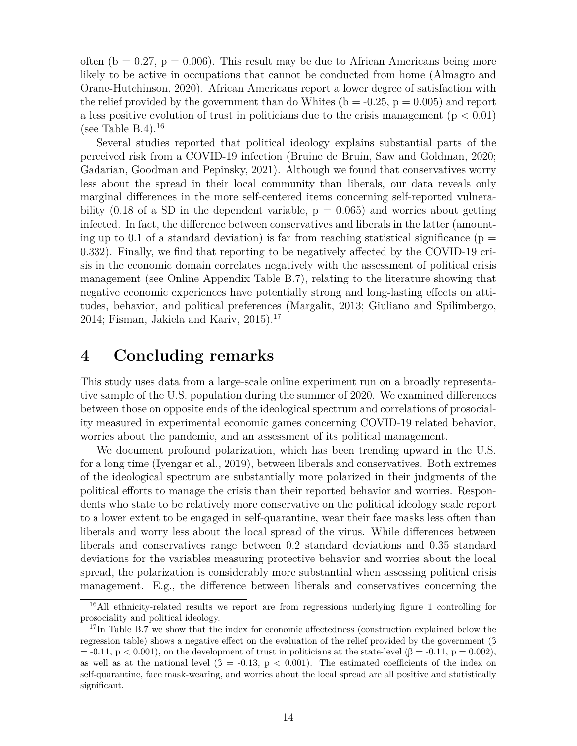often (b = 0.27, p = 0.006). This result may be due to African Americans being more likely to be active in occupations that cannot be conducted from home (Almagro and Orane-Hutchinson, 2020). African Americans report a lower degree of satisfaction with the relief provided by the government than do Whites ( $b = -0.25$ ,  $p = 0.005$ ) and report a less positive evolution of trust in politicians due to the crisis management ( $p < 0.01$ ) (see Table B.4).<sup>16</sup>

Several studies reported that political ideology explains substantial parts of the perceived risk from a COVID-19 infection (Bruine de Bruin, Saw and Goldman, 2020; Gadarian, Goodman and Pepinsky, 2021). Although we found that conservatives worry less about the spread in their local community than liberals, our data reveals only marginal differences in the more self-centered items concerning self-reported vulnerability  $(0.18 \text{ of a SD in the dependent variable, p = 0.065)$  and worries about getting infected. In fact, the difference between conservatives and liberals in the latter (amounting up to 0.1 of a standard deviation) is far from reaching statistical significance ( $p =$ 0.332). Finally, we find that reporting to be negatively affected by the COVID-19 crisis in the economic domain correlates negatively with the assessment of political crisis management (see Online Appendix Table B.7), relating to the literature showing that negative economic experiences have potentially strong and long-lasting effects on attitudes, behavior, and political preferences (Margalit, 2013; Giuliano and Spilimbergo, 2014; Fisman, Jakiela and Kariv,  $2015$ ).<sup>17</sup>

## **4 Concluding remarks**

This study uses data from a large-scale online experiment run on a broadly representative sample of the U.S. population during the summer of 2020. We examined differences between those on opposite ends of the ideological spectrum and correlations of prosociality measured in experimental economic games concerning COVID-19 related behavior, worries about the pandemic, and an assessment of its political management.

We document profound polarization, which has been trending upward in the U.S. for a long time (Iyengar et al., 2019), between liberals and conservatives. Both extremes of the ideological spectrum are substantially more polarized in their judgments of the political efforts to manage the crisis than their reported behavior and worries. Respondents who state to be relatively more conservative on the political ideology scale report to a lower extent to be engaged in self-quarantine, wear their face masks less often than liberals and worry less about the local spread of the virus. While differences between liberals and conservatives range between 0.2 standard deviations and 0.35 standard deviations for the variables measuring protective behavior and worries about the local spread, the polarization is considerably more substantial when assessing political crisis management. E.g., the difference between liberals and conservatives concerning the

<sup>&</sup>lt;sup>16</sup>All ethnicity-related results we report are from regressions underlying figure 1 controlling for prosociality and political ideology.

<sup>&</sup>lt;sup>17</sup>In Table B.7 we show that the index for economic affectedness (construction explained below the regression table) shows a negative effect on the evaluation of the relief provided by the government (β  $=$  -0.11, p < 0.001), on the development of trust in politicians at the state-level ( $\beta = -0.11$ , p = 0.002), as well as at the national level  $(\beta = -0.13, p < 0.001)$ . The estimated coefficients of the index on self-quarantine, face mask-wearing, and worries about the local spread are all positive and statistically significant.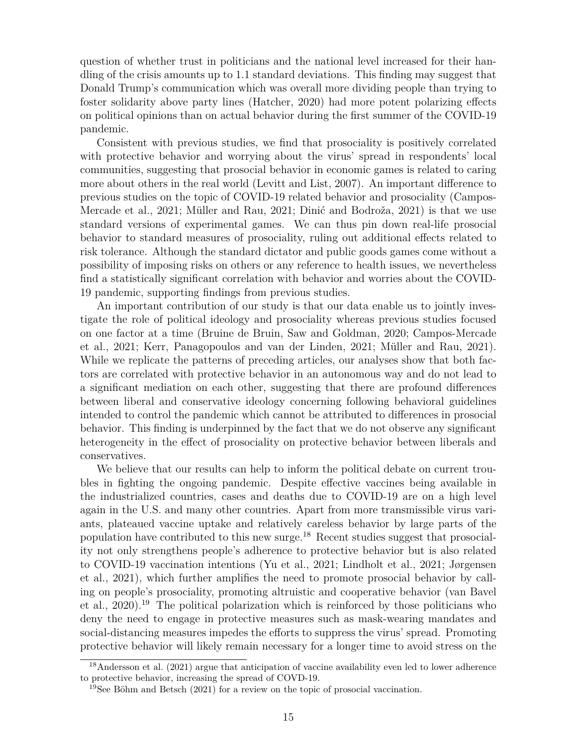question of whether trust in politicians and the national level increased for their handling of the crisis amounts up to 1.1 standard deviations. This finding may suggest that Donald Trump's communication which was overall more dividing people than trying to foster solidarity above party lines (Hatcher, 2020) had more potent polarizing effects on political opinions than on actual behavior during the first summer of the COVID-19 pandemic.

Consistent with previous studies, we find that prosociality is positively correlated with protective behavior and worrying about the virus' spread in respondents' local communities, suggesting that prosocial behavior in economic games is related to caring more about others in the real world (Levitt and List, 2007). An important difference to previous studies on the topic of COVID-19 related behavior and prosociality (Campos-Mercade et al., 2021; Müller and Rau, 2021; Dinić and Bodroža, 2021) is that we use standard versions of experimental games. We can thus pin down real-life prosocial behavior to standard measures of prosociality, ruling out additional effects related to risk tolerance. Although the standard dictator and public goods games come without a possibility of imposing risks on others or any reference to health issues, we nevertheless find a statistically significant correlation with behavior and worries about the COVID-19 pandemic, supporting findings from previous studies.

An important contribution of our study is that our data enable us to jointly investigate the role of political ideology and prosociality whereas previous studies focused on one factor at a time (Bruine de Bruin, Saw and Goldman, 2020; Campos-Mercade et al., 2021; Kerr, Panagopoulos and van der Linden, 2021; Müller and Rau, 2021). While we replicate the patterns of preceding articles, our analyses show that both factors are correlated with protective behavior in an autonomous way and do not lead to a significant mediation on each other, suggesting that there are profound differences between liberal and conservative ideology concerning following behavioral guidelines intended to control the pandemic which cannot be attributed to differences in prosocial behavior. This finding is underpinned by the fact that we do not observe any significant heterogeneity in the effect of prosociality on protective behavior between liberals and conservatives.

We believe that our results can help to inform the political debate on current troubles in fighting the ongoing pandemic. Despite effective vaccines being available in the industrialized countries, cases and deaths due to COVID-19 are on a high level again in the U.S. and many other countries. Apart from more transmissible virus variants, plateaued vaccine uptake and relatively careless behavior by large parts of the population have contributed to this new surge.<sup>18</sup> Recent studies suggest that prosociality not only strengthens people's adherence to protective behavior but is also related to COVID-19 vaccination intentions (Yu et al., 2021; Lindholt et al., 2021; Jørgensen et al., 2021), which further amplifies the need to promote prosocial behavior by calling on people's prosociality, promoting altruistic and cooperative behavior (van Bavel et al., 2020).<sup>19</sup> The political polarization which is reinforced by those politicians who deny the need to engage in protective measures such as mask-wearing mandates and social-distancing measures impedes the efforts to suppress the virus' spread. Promoting protective behavior will likely remain necessary for a longer time to avoid stress on the

<sup>18</sup>Andersson et al. (2021) argue that anticipation of vaccine availability even led to lower adherence to protective behavior, increasing the spread of COVD-19.

<sup>19</sup>See Böhm and Betsch (2021) for a review on the topic of prosocial vaccination.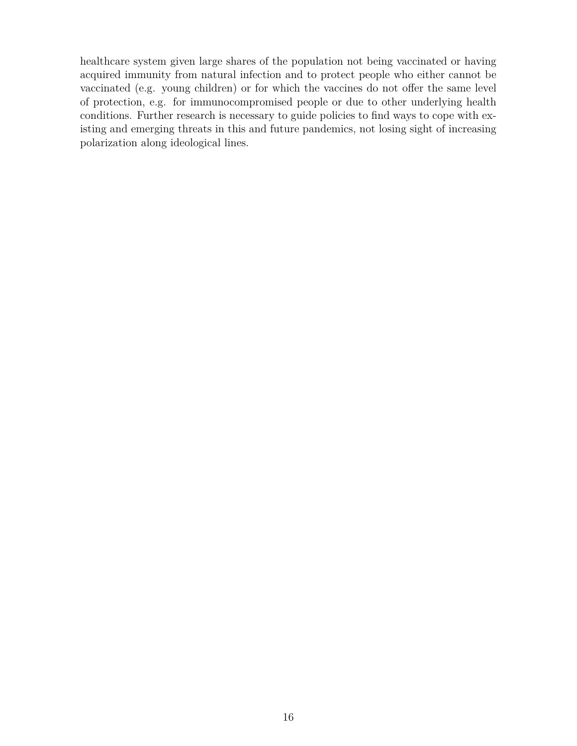healthcare system given large shares of the population not being vaccinated or having acquired immunity from natural infection and to protect people who either cannot be vaccinated (e.g. young children) or for which the vaccines do not offer the same level of protection, e.g. for immunocompromised people or due to other underlying health conditions. Further research is necessary to guide policies to find ways to cope with existing and emerging threats in this and future pandemics, not losing sight of increasing polarization along ideological lines.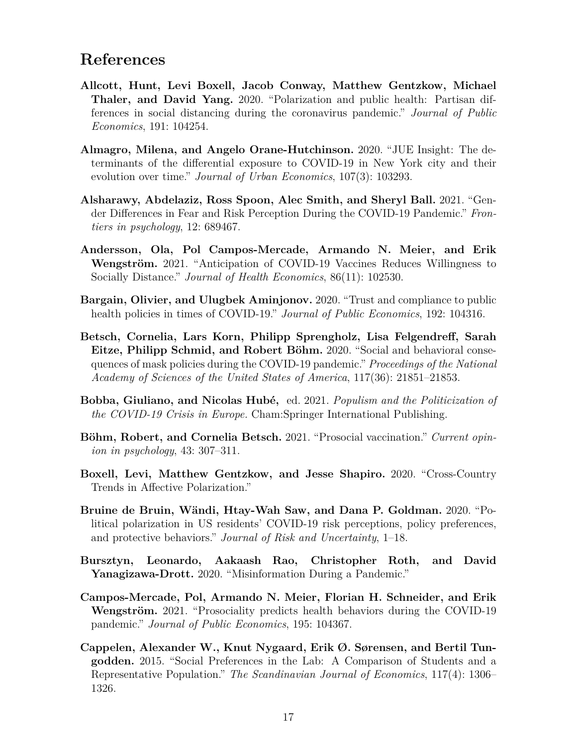## **References**

- **Allcott, Hunt, Levi Boxell, Jacob Conway, Matthew Gentzkow, Michael Thaler, and David Yang.** 2020. "Polarization and public health: Partisan differences in social distancing during the coronavirus pandemic." *Journal of Public Economics*, 191: 104254.
- **Almagro, Milena, and Angelo Orane-Hutchinson.** 2020. "JUE Insight: The determinants of the differential exposure to COVID-19 in New York city and their evolution over time." *Journal of Urban Economics*, 107(3): 103293.
- **Alsharawy, Abdelaziz, Ross Spoon, Alec Smith, and Sheryl Ball.** 2021. "Gender Differences in Fear and Risk Perception During the COVID-19 Pandemic." *Frontiers in psychology*, 12: 689467.
- **Andersson, Ola, Pol Campos-Mercade, Armando N. Meier, and Erik Wengström.** 2021. "Anticipation of COVID-19 Vaccines Reduces Willingness to Socially Distance." *Journal of Health Economics*, 86(11): 102530.
- **Bargain, Olivier, and Ulugbek Aminjonov.** 2020. "Trust and compliance to public health policies in times of COVID-19." *Journal of Public Economics*, 192: 104316.
- **Betsch, Cornelia, Lars Korn, Philipp Sprengholz, Lisa Felgendreff, Sarah Eitze, Philipp Schmid, and Robert Böhm.** 2020. "Social and behavioral consequences of mask policies during the COVID-19 pandemic." *Proceedings of the National Academy of Sciences of the United States of America*, 117(36): 21851–21853.
- **Bobba, Giuliano, and Nicolas Hubé,** ed. 2021. *Populism and the Politicization of the COVID-19 Crisis in Europe.* Cham:Springer International Publishing.
- **Böhm, Robert, and Cornelia Betsch.** 2021. "Prosocial vaccination." *Current opinion in psychology*, 43: 307–311.
- **Boxell, Levi, Matthew Gentzkow, and Jesse Shapiro.** 2020. "Cross-Country Trends in Affective Polarization."
- **Bruine de Bruin, Wändi, Htay-Wah Saw, and Dana P. Goldman.** 2020. "Political polarization in US residents' COVID-19 risk perceptions, policy preferences, and protective behaviors." *Journal of Risk and Uncertainty*, 1–18.
- **Bursztyn, Leonardo, Aakaash Rao, Christopher Roth, and David Yanagizawa-Drott.** 2020. "Misinformation During a Pandemic."
- **Campos-Mercade, Pol, Armando N. Meier, Florian H. Schneider, and Erik Wengström.** 2021. "Prosociality predicts health behaviors during the COVID-19 pandemic." *Journal of Public Economics*, 195: 104367.
- **Cappelen, Alexander W., Knut Nygaard, Erik Ø. Sørensen, and Bertil Tungodden.** 2015. "Social Preferences in the Lab: A Comparison of Students and a Representative Population." *The Scandinavian Journal of Economics*, 117(4): 1306– 1326.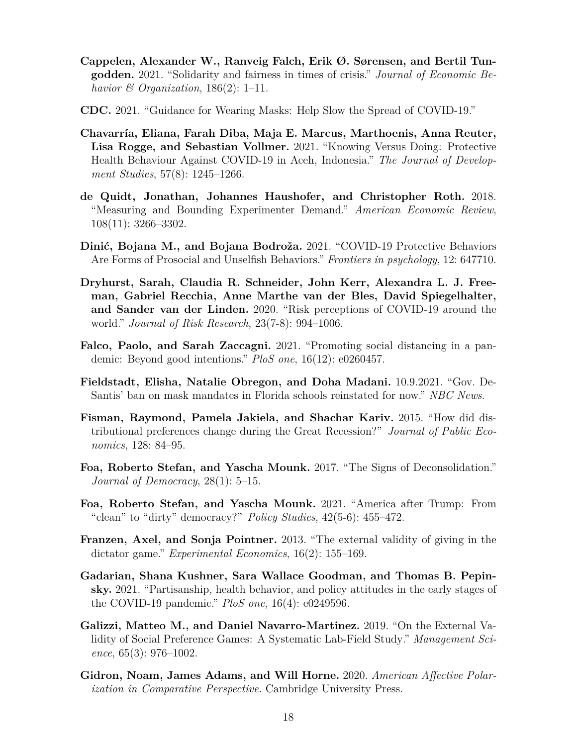- **Cappelen, Alexander W., Ranveig Falch, Erik Ø. Sørensen, and Bertil Tungodden.** 2021. "Solidarity and fairness in times of crisis." *Journal of Economic Behavior & Organization*, 186(2): 1–11.
- **CDC.** 2021. "Guidance for Wearing Masks: Help Slow the Spread of COVID-19."
- **Chavarría, Eliana, Farah Diba, Maja E. Marcus, Marthoenis, Anna Reuter, Lisa Rogge, and Sebastian Vollmer.** 2021. "Knowing Versus Doing: Protective Health Behaviour Against COVID-19 in Aceh, Indonesia." *The Journal of Development Studies*, 57(8): 1245–1266.
- **de Quidt, Jonathan, Johannes Haushofer, and Christopher Roth.** 2018. "Measuring and Bounding Experimenter Demand." *American Economic Review*, 108(11): 3266–3302.
- **Dinić, Bojana M., and Bojana Bodroža.** 2021. "COVID-19 Protective Behaviors Are Forms of Prosocial and Unselfish Behaviors." *Frontiers in psychology*, 12: 647710.
- **Dryhurst, Sarah, Claudia R. Schneider, John Kerr, Alexandra L. J. Freeman, Gabriel Recchia, Anne Marthe van der Bles, David Spiegelhalter, and Sander van der Linden.** 2020. "Risk perceptions of COVID-19 around the world." *Journal of Risk Research*, 23(7-8): 994–1006.
- **Falco, Paolo, and Sarah Zaccagni.** 2021. "Promoting social distancing in a pandemic: Beyond good intentions." *PloS one*, 16(12): e0260457.
- **Fieldstadt, Elisha, Natalie Obregon, and Doha Madani.** 10.9.2021. "Gov. De-Santis' ban on mask mandates in Florida schools reinstated for now." *NBC News*.
- **Fisman, Raymond, Pamela Jakiela, and Shachar Kariv.** 2015. "How did distributional preferences change during the Great Recession?" *Journal of Public Economics*, 128: 84–95.
- **Foa, Roberto Stefan, and Yascha Mounk.** 2017. "The Signs of Deconsolidation." *Journal of Democracy*, 28(1): 5–15.
- **Foa, Roberto Stefan, and Yascha Mounk.** 2021. "America after Trump: From "clean" to "dirty" democracy?" *Policy Studies*, 42(5-6): 455–472.
- **Franzen, Axel, and Sonja Pointner.** 2013. "The external validity of giving in the dictator game." *Experimental Economics*, 16(2): 155–169.
- **Gadarian, Shana Kushner, Sara Wallace Goodman, and Thomas B. Pepinsky.** 2021. "Partisanship, health behavior, and policy attitudes in the early stages of the COVID-19 pandemic." *PloS one*, 16(4): e0249596.
- **Galizzi, Matteo M., and Daniel Navarro-Martinez.** 2019. "On the External Validity of Social Preference Games: A Systematic Lab-Field Study." *Management Science*, 65(3): 976–1002.
- **Gidron, Noam, James Adams, and Will Horne.** 2020. *American Affective Polarization in Comparative Perspective.* Cambridge University Press.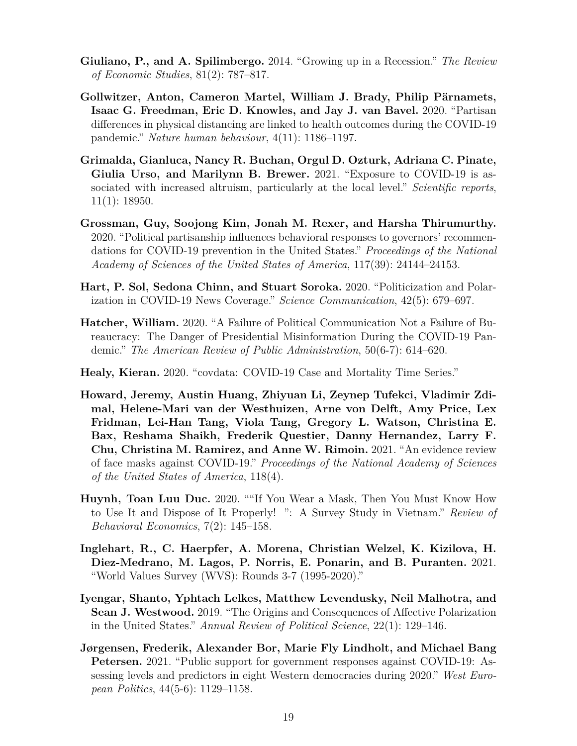- **Giuliano, P., and A. Spilimbergo.** 2014. "Growing up in a Recession." *The Review of Economic Studies*, 81(2): 787–817.
- **Gollwitzer, Anton, Cameron Martel, William J. Brady, Philip Pärnamets, Isaac G. Freedman, Eric D. Knowles, and Jay J. van Bavel.** 2020. "Partisan differences in physical distancing are linked to health outcomes during the COVID-19 pandemic." *Nature human behaviour*, 4(11): 1186–1197.
- **Grimalda, Gianluca, Nancy R. Buchan, Orgul D. Ozturk, Adriana C. Pinate, Giulia Urso, and Marilynn B. Brewer.** 2021. "Exposure to COVID-19 is associated with increased altruism, particularly at the local level." *Scientific reports*, 11(1): 18950.
- **Grossman, Guy, Soojong Kim, Jonah M. Rexer, and Harsha Thirumurthy.** 2020. "Political partisanship influences behavioral responses to governors' recommendations for COVID-19 prevention in the United States." *Proceedings of the National Academy of Sciences of the United States of America*, 117(39): 24144–24153.
- **Hart, P. Sol, Sedona Chinn, and Stuart Soroka.** 2020. "Politicization and Polarization in COVID-19 News Coverage." *Science Communication*, 42(5): 679–697.
- **Hatcher, William.** 2020. "A Failure of Political Communication Not a Failure of Bureaucracy: The Danger of Presidential Misinformation During the COVID-19 Pandemic." *The American Review of Public Administration*, 50(6-7): 614–620.
- **Healy, Kieran.** 2020. "covdata: COVID-19 Case and Mortality Time Series."
- **Howard, Jeremy, Austin Huang, Zhiyuan Li, Zeynep Tufekci, Vladimir Zdimal, Helene-Mari van der Westhuizen, Arne von Delft, Amy Price, Lex Fridman, Lei-Han Tang, Viola Tang, Gregory L. Watson, Christina E. Bax, Reshama Shaikh, Frederik Questier, Danny Hernandez, Larry F. Chu, Christina M. Ramirez, and Anne W. Rimoin.** 2021. "An evidence review of face masks against COVID-19." *Proceedings of the National Academy of Sciences of the United States of America*, 118(4).
- **Huynh, Toan Luu Duc.** 2020. ""If You Wear a Mask, Then You Must Know How to Use It and Dispose of It Properly! ": A Survey Study in Vietnam." *Review of Behavioral Economics*, 7(2): 145–158.
- **Inglehart, R., C. Haerpfer, A. Morena, Christian Welzel, K. Kizilova, H. Diez-Medrano, M. Lagos, P. Norris, E. Ponarin, and B. Puranten.** 2021. "World Values Survey (WVS): Rounds 3-7 (1995-2020)."
- **Iyengar, Shanto, Yphtach Lelkes, Matthew Levendusky, Neil Malhotra, and Sean J. Westwood.** 2019. "The Origins and Consequences of Affective Polarization in the United States." *Annual Review of Political Science*, 22(1): 129–146.
- **Jørgensen, Frederik, Alexander Bor, Marie Fly Lindholt, and Michael Bang Petersen.** 2021. "Public support for government responses against COVID-19: Assessing levels and predictors in eight Western democracies during 2020." *West European Politics*, 44(5-6): 1129–1158.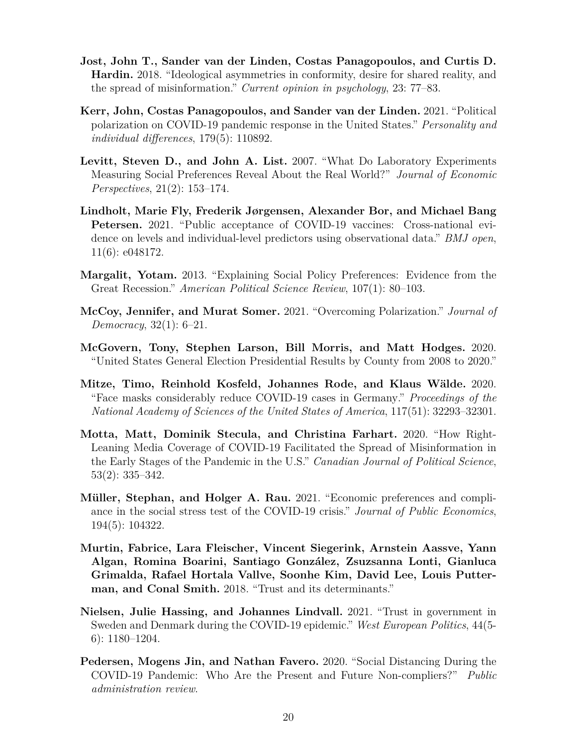- **Jost, John T., Sander van der Linden, Costas Panagopoulos, and Curtis D. Hardin.** 2018. "Ideological asymmetries in conformity, desire for shared reality, and the spread of misinformation." *Current opinion in psychology*, 23: 77–83.
- **Kerr, John, Costas Panagopoulos, and Sander van der Linden.** 2021. "Political polarization on COVID-19 pandemic response in the United States." *Personality and individual differences*, 179(5): 110892.
- **Levitt, Steven D., and John A. List.** 2007. "What Do Laboratory Experiments Measuring Social Preferences Reveal About the Real World?" *Journal of Economic Perspectives*, 21(2): 153–174.
- **Lindholt, Marie Fly, Frederik Jørgensen, Alexander Bor, and Michael Bang Petersen.** 2021. "Public acceptance of COVID-19 vaccines: Cross-national evidence on levels and individual-level predictors using observational data." *BMJ open*, 11(6): e048172.
- **Margalit, Yotam.** 2013. "Explaining Social Policy Preferences: Evidence from the Great Recession." *American Political Science Review*, 107(1): 80–103.
- **McCoy, Jennifer, and Murat Somer.** 2021. "Overcoming Polarization." *Journal of Democracy*, 32(1): 6–21.
- **McGovern, Tony, Stephen Larson, Bill Morris, and Matt Hodges.** 2020. "United States General Election Presidential Results by County from 2008 to 2020."
- **Mitze, Timo, Reinhold Kosfeld, Johannes Rode, and Klaus Wälde.** 2020. "Face masks considerably reduce COVID-19 cases in Germany." *Proceedings of the National Academy of Sciences of the United States of America*, 117(51): 32293–32301.
- **Motta, Matt, Dominik Stecula, and Christina Farhart.** 2020. "How Right-Leaning Media Coverage of COVID-19 Facilitated the Spread of Misinformation in the Early Stages of the Pandemic in the U.S." *Canadian Journal of Political Science*, 53(2): 335–342.
- **Müller, Stephan, and Holger A. Rau.** 2021. "Economic preferences and compliance in the social stress test of the COVID-19 crisis." *Journal of Public Economics*, 194(5): 104322.
- **Murtin, Fabrice, Lara Fleischer, Vincent Siegerink, Arnstein Aassve, Yann Algan, Romina Boarini, Santiago González, Zsuzsanna Lonti, Gianluca Grimalda, Rafael Hortala Vallve, Soonhe Kim, David Lee, Louis Putterman, and Conal Smith.** 2018. "Trust and its determinants."
- **Nielsen, Julie Hassing, and Johannes Lindvall.** 2021. "Trust in government in Sweden and Denmark during the COVID-19 epidemic." *West European Politics*, 44(5- 6): 1180–1204.
- **Pedersen, Mogens Jin, and Nathan Favero.** 2020. "Social Distancing During the COVID-19 Pandemic: Who Are the Present and Future Non-compliers?" *Public administration review*.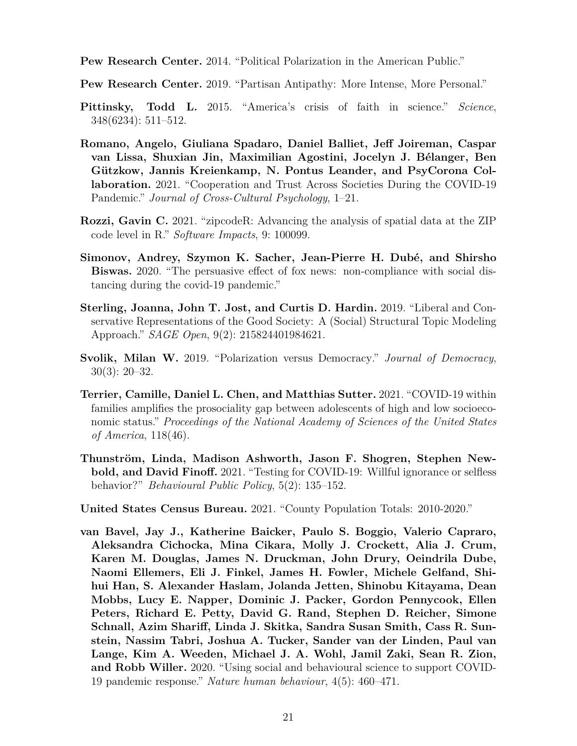**Pew Research Center.** 2014. "Political Polarization in the American Public."

**Pew Research Center.** 2019. "Partisan Antipathy: More Intense, More Personal."

- **Pittinsky, Todd L.** 2015. "America's crisis of faith in science." *Science*, 348(6234): 511–512.
- **Romano, Angelo, Giuliana Spadaro, Daniel Balliet, Jeff Joireman, Caspar van Lissa, Shuxian Jin, Maximilian Agostini, Jocelyn J. Bélanger, Ben Gützkow, Jannis Kreienkamp, N. Pontus Leander, and PsyCorona Collaboration.** 2021. "Cooperation and Trust Across Societies During the COVID-19 Pandemic." *Journal of Cross-Cultural Psychology*, 1–21.
- **Rozzi, Gavin C.** 2021. "zipcodeR: Advancing the analysis of spatial data at the ZIP code level in R." *Software Impacts*, 9: 100099.
- **Simonov, Andrey, Szymon K. Sacher, Jean-Pierre H. Dubé, and Shirsho Biswas.** 2020. "The persuasive effect of fox news: non-compliance with social distancing during the covid-19 pandemic."
- **Sterling, Joanna, John T. Jost, and Curtis D. Hardin.** 2019. "Liberal and Conservative Representations of the Good Society: A (Social) Structural Topic Modeling Approach." *SAGE Open*, 9(2): 215824401984621.
- **Svolik, Milan W.** 2019. "Polarization versus Democracy." *Journal of Democracy*, 30(3): 20–32.
- **Terrier, Camille, Daniel L. Chen, and Matthias Sutter.** 2021. "COVID-19 within families amplifies the prosociality gap between adolescents of high and low socioeconomic status." *Proceedings of the National Academy of Sciences of the United States of America*, 118(46).
- **Thunström, Linda, Madison Ashworth, Jason F. Shogren, Stephen Newbold, and David Finoff.** 2021. "Testing for COVID-19: Willful ignorance or selfless behavior?" *Behavioural Public Policy*, 5(2): 135–152.

**United States Census Bureau.** 2021. "County Population Totals: 2010-2020."

**van Bavel, Jay J., Katherine Baicker, Paulo S. Boggio, Valerio Capraro, Aleksandra Cichocka, Mina Cikara, Molly J. Crockett, Alia J. Crum, Karen M. Douglas, James N. Druckman, John Drury, Oeindrila Dube, Naomi Ellemers, Eli J. Finkel, James H. Fowler, Michele Gelfand, Shihui Han, S. Alexander Haslam, Jolanda Jetten, Shinobu Kitayama, Dean Mobbs, Lucy E. Napper, Dominic J. Packer, Gordon Pennycook, Ellen Peters, Richard E. Petty, David G. Rand, Stephen D. Reicher, Simone Schnall, Azim Shariff, Linda J. Skitka, Sandra Susan Smith, Cass R. Sunstein, Nassim Tabri, Joshua A. Tucker, Sander van der Linden, Paul van Lange, Kim A. Weeden, Michael J. A. Wohl, Jamil Zaki, Sean R. Zion, and Robb Willer.** 2020. "Using social and behavioural science to support COVID-19 pandemic response." *Nature human behaviour*, 4(5): 460–471.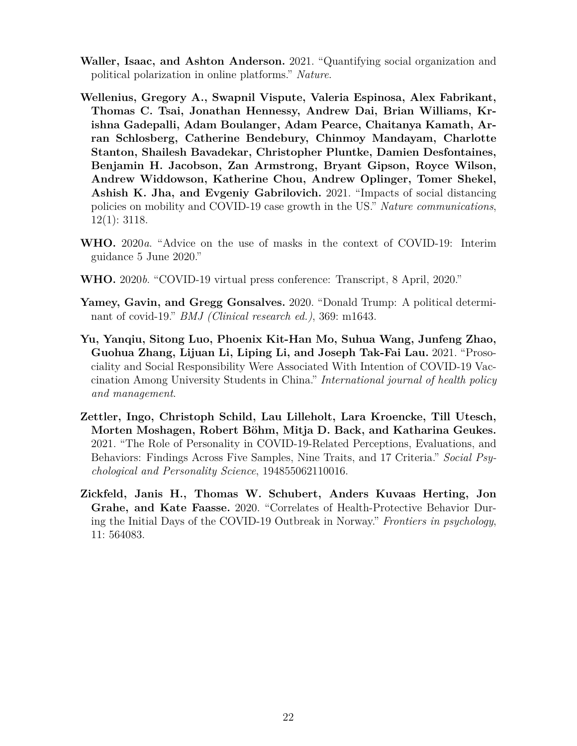- **Waller, Isaac, and Ashton Anderson.** 2021. "Quantifying social organization and political polarization in online platforms." *Nature*.
- **Wellenius, Gregory A., Swapnil Vispute, Valeria Espinosa, Alex Fabrikant, Thomas C. Tsai, Jonathan Hennessy, Andrew Dai, Brian Williams, Krishna Gadepalli, Adam Boulanger, Adam Pearce, Chaitanya Kamath, Arran Schlosberg, Catherine Bendebury, Chinmoy Mandayam, Charlotte Stanton, Shailesh Bavadekar, Christopher Pluntke, Damien Desfontaines, Benjamin H. Jacobson, Zan Armstrong, Bryant Gipson, Royce Wilson, Andrew Widdowson, Katherine Chou, Andrew Oplinger, Tomer Shekel, Ashish K. Jha, and Evgeniy Gabrilovich.** 2021. "Impacts of social distancing policies on mobility and COVID-19 case growth in the US." *Nature communications*, 12(1): 3118.
- **WHO.** 2020*a*. "Advice on the use of masks in the context of COVID-19: Interim guidance 5 June 2020."
- **WHO.** 2020*b*. "COVID-19 virtual press conference: Transcript, 8 April, 2020."
- **Yamey, Gavin, and Gregg Gonsalves.** 2020. "Donald Trump: A political determinant of covid-19." *BMJ (Clinical research ed.)*, 369: m1643.
- **Yu, Yanqiu, Sitong Luo, Phoenix Kit-Han Mo, Suhua Wang, Junfeng Zhao, Guohua Zhang, Lijuan Li, Liping Li, and Joseph Tak-Fai Lau.** 2021. "Prosociality and Social Responsibility Were Associated With Intention of COVID-19 Vaccination Among University Students in China." *International journal of health policy and management*.
- **Zettler, Ingo, Christoph Schild, Lau Lilleholt, Lara Kroencke, Till Utesch, Morten Moshagen, Robert Böhm, Mitja D. Back, and Katharina Geukes.** 2021. "The Role of Personality in COVID-19-Related Perceptions, Evaluations, and Behaviors: Findings Across Five Samples, Nine Traits, and 17 Criteria." *Social Psychological and Personality Science*, 194855062110016.
- **Zickfeld, Janis H., Thomas W. Schubert, Anders Kuvaas Herting, Jon Grahe, and Kate Faasse.** 2020. "Correlates of Health-Protective Behavior During the Initial Days of the COVID-19 Outbreak in Norway." *Frontiers in psychology*, 11: 564083.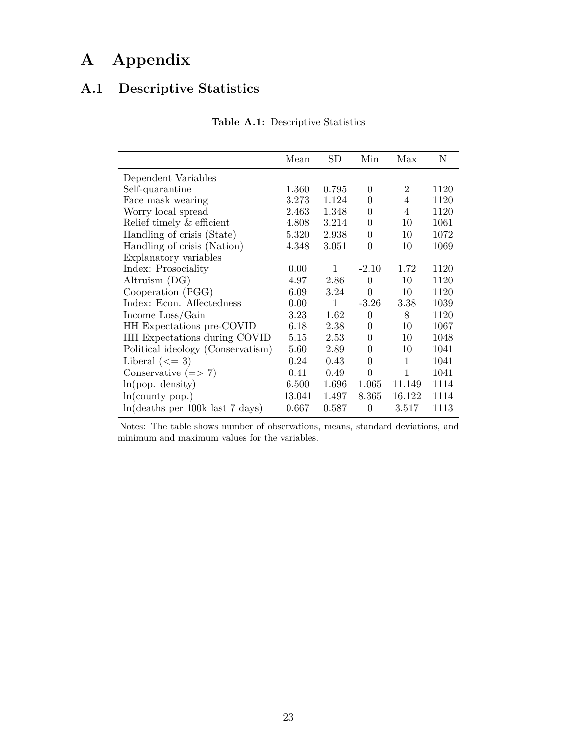## **A Appendix**

## **A.1 Descriptive Statistics**

|                                   | Mean   | $_{\rm SD}$  | Min              | Max            | N    |
|-----------------------------------|--------|--------------|------------------|----------------|------|
| Dependent Variables               |        |              |                  |                |      |
| Self-quarantine                   | 1.360  | 0.795        | $\Omega$         | $\overline{2}$ | 1120 |
| Face mask wearing                 | 3.273  | 1.124        | $\theta$         | 4              | 1120 |
| Worry local spread                | 2.463  | 1.348        | $\overline{0}$   | 4              | 1120 |
| Relief timely & efficient         | 4.808  | 3.214        | $\overline{0}$   | 10             | 1061 |
| Handling of crisis (State)        | 5.320  | 2.938        | 0                | 10             | 1072 |
| Handling of crisis (Nation)       | 4.348  | 3.051        | $\overline{0}$   | 10             | 1069 |
| Explanatory variables             |        |              |                  |                |      |
| Index: Prosociality               | 0.00   | 1            | $-2.10$          | 1.72           | 1120 |
| Altruism (DG)                     | 4.97   | 2.86         | $\Omega$         | 10             | 1120 |
| Cooperation (PGG)                 | 6.09   | 3.24         | $\theta$         | 10             | 1120 |
| Index: Econ. Affectedness         | 0.00   | $\mathbf{1}$ | $-3.26$          | 3.38           | 1039 |
| Income Loss/Gain                  | 3.23   | 1.62         | $\theta$         | 8              | 1120 |
| HH Expectations pre-COVID         | 6.18   | 2.38         | $\overline{0}$   | 10             | 1067 |
| HH Expectations during COVID      | 5.15   | 2.53         | $\overline{0}$   | 10             | 1048 |
| Political ideology (Conservatism) | 5.60   | 2.89         | 0                | 10             | 1041 |
| Liberal $(<=3)$                   | 0.24   | 0.43         | $\overline{0}$   | $\mathbf 1$    | 1041 |
| Conservative $(=> 7)$             | 0.41   | 0.49         | $\overline{0}$   | $\mathbf{1}$   | 1041 |
| ln(pop. density)                  | 6.500  | 1.696        | 1.065            | 11.149         | 1114 |
| ln(county pop.)                   | 13.041 | 1.497        | 8.365            | 16.122         | 1114 |
| ln(deaths per 100k last 7 days)   | 0.667  | 0.587        | $\boldsymbol{0}$ | 3.517          | 1113 |

**Table A.1:** Descriptive Statistics

Notes: The table shows number of observations, means, standard deviations, and minimum and maximum values for the variables.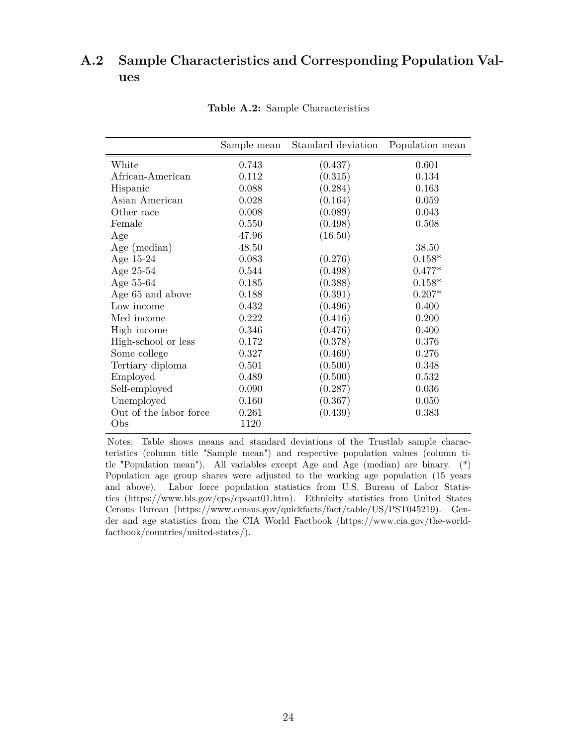### **A.2 Sample Characteristics and Corresponding Population Values**

|                        | Sample mean | Standard deviation | Population mean |
|------------------------|-------------|--------------------|-----------------|
| White                  | 0.743       | (0.437)            | 0.601           |
| African-American       | 0.112       | (0.315)            | 0.134           |
| Hispanic               | 0.088       | (0.284)            | 0.163           |
| Asian American         | 0.028       | (0.164)            | 0.059           |
| Other race             | 0.008       | (0.089)            | 0.043           |
| Female                 | 0.550       | (0.498)            | 0.508           |
| Age                    | 47.96       | (16.50)            |                 |
| Age (median)           | 48.50       |                    | 38.50           |
| Age 15-24              | 0.083       | (0.276)            | $0.158*$        |
| Age 25-54              | 0.544       | (0.498)            | $0.477*$        |
| Age 55-64              | 0.185       | (0.388)            | $0.158*$        |
| Age 65 and above       | 0.188       | (0.391)            | $0.207*$        |
| Low income             | 0.432       | (0.496)            | 0.400           |
| Med income             | 0.222       | (0.416)            | 0.200           |
| High income            | 0.346       | (0.476)            | 0.400           |
| High-school or less    | 0.172       | (0.378)            | 0.376           |
| Some college           | 0.327       | (0.469)            | 0.276           |
| Tertiary diploma       | 0.501       | (0.500)            | 0.348           |
| Employed               | 0.489       | (0.500)            | 0.532           |
| Self-employed          | 0.090       | (0.287)            | 0.036           |
| Unemployed             | 0.160       | (0.367)            | 0.050           |
| Out of the labor force | 0.261       | (0.439)            | 0.383           |
| Obs                    | 1120        |                    |                 |

**Table A.2:** Sample Characteristics

Notes: Table shows means and standard deviations of the Trustlab sample characteristics (column title "Sample mean") and respective population values (column title "Population mean"). All variables except Age and Age (median) are binary. (\*) Population age group shares were adjusted to the working age population (15 years and above). Labor force population statistics from U.S. Bureau of Labor Statistics (https://www.bls.gov/cps/cpsaat01.htm). Ethnicity statistics from United States Census Bureau (https://www.census.gov/quickfacts/fact/table/US/PST045219). Gender and age statistics from the CIA World Factbook (https://www.cia.gov/the-worldfactbook/countries/united-states/).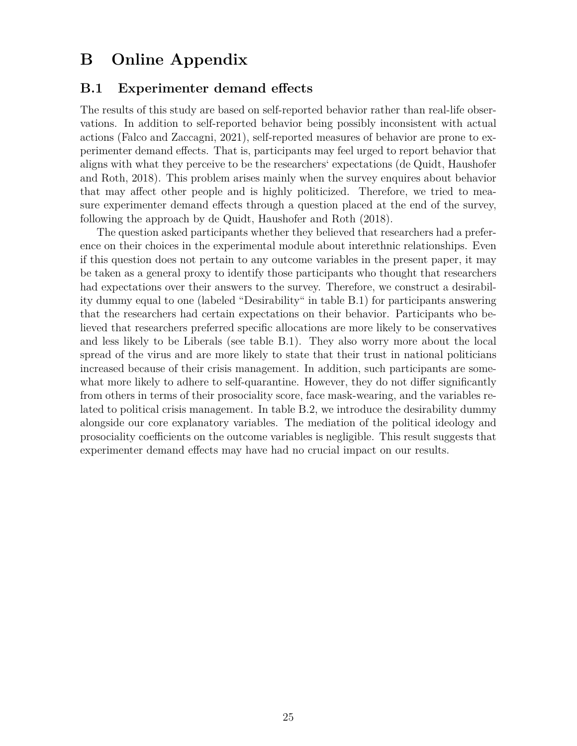## **B Online Appendix**

### **B.1 Experimenter demand effects**

The results of this study are based on self-reported behavior rather than real-life observations. In addition to self-reported behavior being possibly inconsistent with actual actions (Falco and Zaccagni, 2021), self-reported measures of behavior are prone to experimenter demand effects. That is, participants may feel urged to report behavior that aligns with what they perceive to be the researchers' expectations (de Quidt, Haushofer and Roth, 2018). This problem arises mainly when the survey enquires about behavior that may affect other people and is highly politicized. Therefore, we tried to measure experimenter demand effects through a question placed at the end of the survey, following the approach by de Quidt, Haushofer and Roth (2018).

The question asked participants whether they believed that researchers had a preference on their choices in the experimental module about interethnic relationships. Even if this question does not pertain to any outcome variables in the present paper, it may be taken as a general proxy to identify those participants who thought that researchers had expectations over their answers to the survey. Therefore, we construct a desirability dummy equal to one (labeled "Desirability" in table B.1) for participants answering that the researchers had certain expectations on their behavior. Participants who believed that researchers preferred specific allocations are more likely to be conservatives and less likely to be Liberals (see table B.1). They also worry more about the local spread of the virus and are more likely to state that their trust in national politicians increased because of their crisis management. In addition, such participants are somewhat more likely to adhere to self-quarantine. However, they do not differ significantly from others in terms of their prosociality score, face mask-wearing, and the variables related to political crisis management. In table B.2, we introduce the desirability dummy alongside our core explanatory variables. The mediation of the political ideology and prosociality coefficients on the outcome variables is negligible. This result suggests that experimenter demand effects may have had no crucial impact on our results.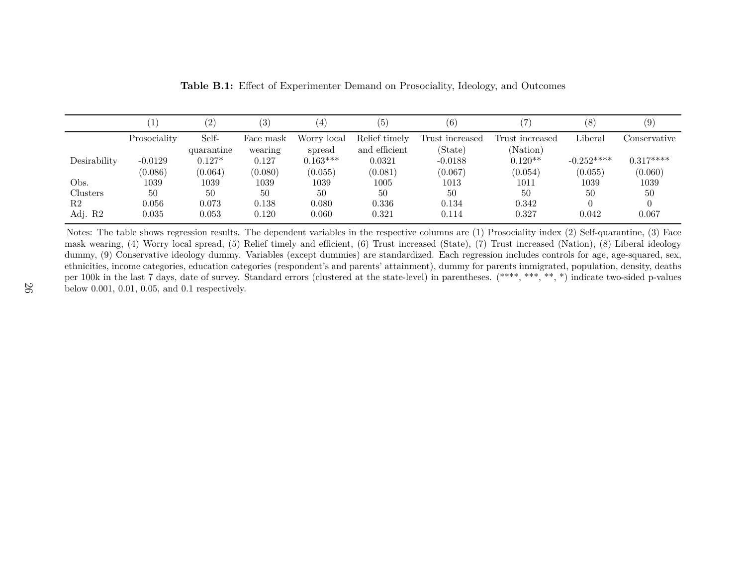|              | $\mathbf{1}$ | (2)        | (3)       |             | (5)           | (6)             |                 | (8)         |              |
|--------------|--------------|------------|-----------|-------------|---------------|-----------------|-----------------|-------------|--------------|
|              | Prosociality | Self-      | Face mask | Worry local | Relief timely | Trust increased | Trust increased | Liberal     | Conservative |
|              |              | quarantine | wearing   | spread      | and efficient | (State)         | (Nation)        |             |              |
| Desirability | $-0.0129$    | $0.127*$   | 0.127     | $0.163***$  | 0.0321        | $-0.0188$       | $0.120**$       | $-0.252***$ | $0.317***$   |
|              | (0.086)      | (0.064)    | (0.080)   | (0.055)     | (0.081)       | (0.067)         | (0.054)         | (0.055)     | (0.060)      |
| Obs.         | 1039         | 1039       | 1039      | 1039        | $1005\,$      | 1013            | 1011            | 1039        | 1039         |
| Clusters     | 50           | 50         | 50        | 50          | 50            | 50              | 50              | 50          | 50           |
| R2           | 0.056        | 0.073      | 0.138     | 0.080       | 0.336         | 0.134           | 0.342           |             |              |
| Adj. R2      | 0.035        | 0.053      | 0.120     | 0.060       | 0.321         | 0.114           | 0.327           | 0.042       | 0.067        |

**Table B.1:** Effect of Experimenter Demand on Prosociality, Ideology, and Outcomes

Notes: The table shows regression results. The dependent variables in the respective columns are (1) Prosociality index (2) Self-quarantine, (3) Face mask wearing, (4) Worry local spread, (5) Relief timely and efficient, (6) Trust increased (State), (7) Trust increased (Nation), (8) Liberal ideology dummy, (9) Conservative ideology dummy. Variables (except dummies) are standardized. Each regression includes controls for age, age-squared, sex, ethnicities, income categories, education categories (respondent's and parents' attainment), dummy for parents immigrated, population, density, deaths per 100k in the last <sup>7</sup> days, date of survey. Standard errors (clustered at the state-level) in parentheses. (\*\*\*\*, \*\*\*, \*\*, \*) indicate two-sided p-valuesbelow 0.001, 0.01, 0.05, and 0.1 respectively.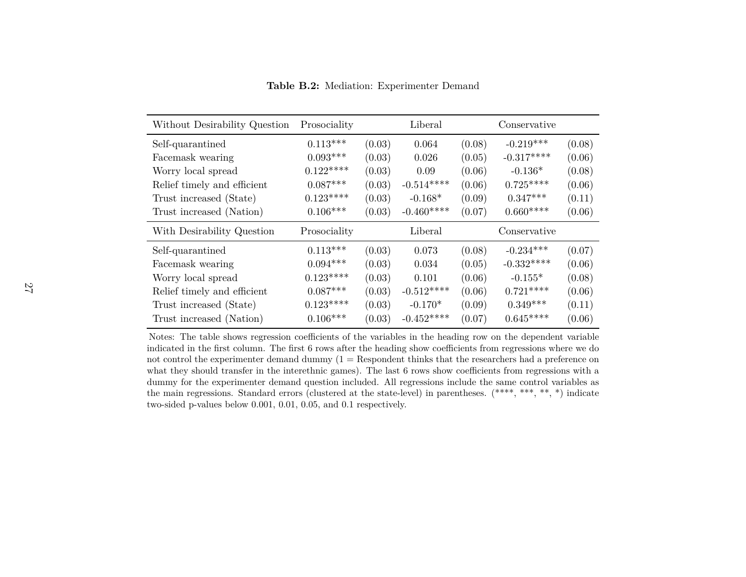| Without Desirability Question | Prosociality |        | Liberal     |        | Conservative |        |
|-------------------------------|--------------|--------|-------------|--------|--------------|--------|
| Self-quarantined              | $0.113***$   | (0.03) | 0.064       | (0.08) | $-0.219***$  | (0.08) |
| Facemask wearing              | $0.093***$   | (0.03) | 0.026       | (0.05) | $-0.317***$  | (0.06) |
| Worry local spread            | $0.122***$   | (0.03) | 0.09        | (0.06) | $-0.136*$    | (0.08) |
| Relief timely and efficient   | $0.087***$   | (0.03) | $-0.514***$ | (0.06) | $0.725***$   | (0.06) |
| Trust increased (State)       | $0.123***$   | (0.03) | $-0.168*$   | (0.09) | $0.347***$   | (0.11) |
| Trust increased (Nation)      | $0.106***$   | (0.03) | $-0.460***$ | (0.07) | $0.660***$   | (0.06) |
| With Desirability Question    | Prosociality |        | Liberal     |        | Conservative |        |
| Self-quarantined              | $0.113***$   | (0.03) | 0.073       | (0.08) | $-0.234***$  | (0.07) |
| Facemask wearing              | $0.094***$   | (0.03) | 0.034       | (0.05) | $-0.332***$  | (0.06) |
| Worry local spread            | $0.123***$   | (0.03) | 0.101       | (0.06) | $-0.155*$    | (0.08) |
| Relief timely and efficient   | $0.087***$   | (0.03) | $-0.512***$ | (0.06) | $0.721***$   | (0.06) |
| Trust increased (State)       | $0.123***$   | (0.03) | $-0.170*$   | (0.09) | $0.349***$   | (0.11) |
| Trust increased (Nation)      | $0.106***$   | (0.03) | $-0.452***$ | (0.07) | $0.645***$   | (0.06) |

**Table B.2:** Mediation: Experimenter Demand

Notes: The table shows regression coefficients of the variables in the heading row on the dependent variable indicated in the first column. The first 6 rows after the heading show coefficients from regressions where we do not control the experimenter demand dummy (1 <sup>=</sup> Respondent thinks that the researchers had <sup>a</sup> preference on what they should transfer in the interethnic games). The last <sup>6</sup> rows show coefficients from regressions with <sup>a</sup> dummy for the experimenter demand question included. All regressions include the same control variables as the main regressions. Standard errors (clustered at the state-level) in parentheses. (\*\*\*\*, \*\*\*, \*\*, \*) indicatetwo-sided p-values below 0.001, 0.01, 0.05, and 0.1 respectively.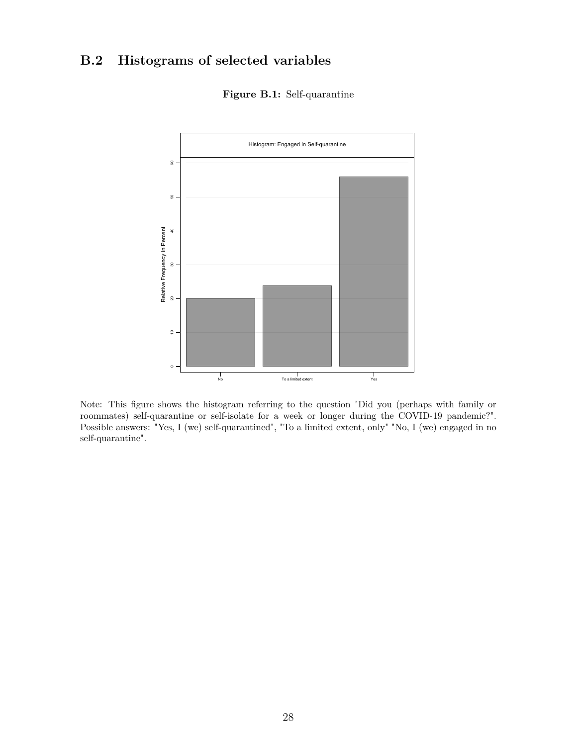## **B.2 Histograms of selected variables**

**Figure B.1:** Self-quarantine



Note: This figure shows the histogram referring to the question "Did you (perhaps with family or roommates) self-quarantine or self-isolate for a week or longer during the COVID-19 pandemic?". Possible answers: "Yes, I (we) self-quarantined", "To a limited extent, only" "No, I (we) engaged in no self-quarantine".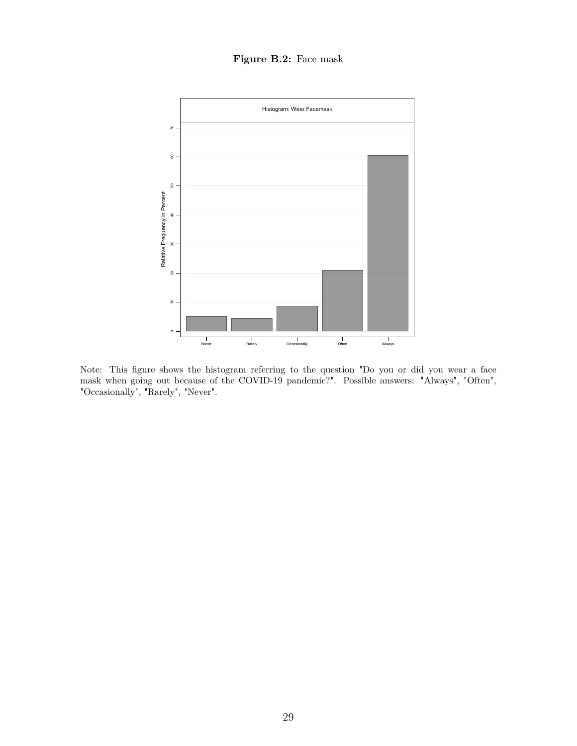### **Figure B.2:** Face mask



Note: This figure shows the histogram referring to the question "Do you or did you wear a face mask when going out because of the COVID-19 pandemic?". Possible answers: "Always", "Often", "Occasionally", "Rarely", "Never".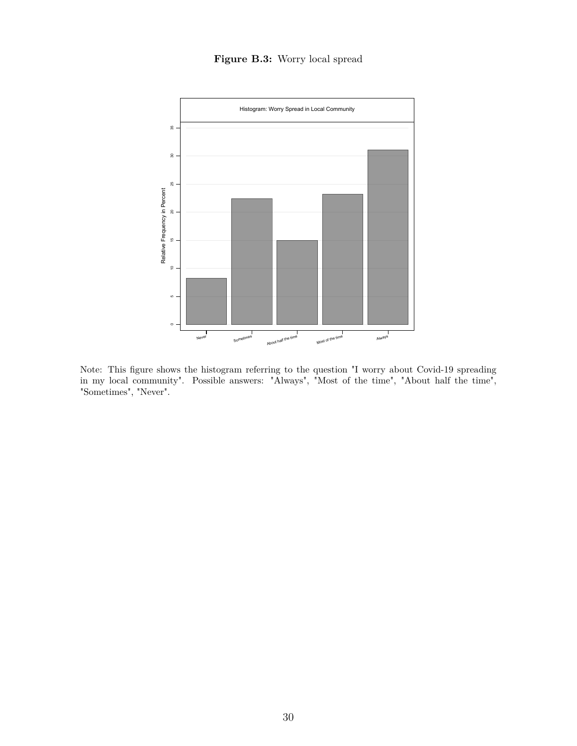### **Figure B.3:** Worry local spread



Note: This figure shows the histogram referring to the question "I worry about Covid-19 spreading in my local community". Possible answers: "Always", "Most of the time", "About half the time", "Sometimes", "Never".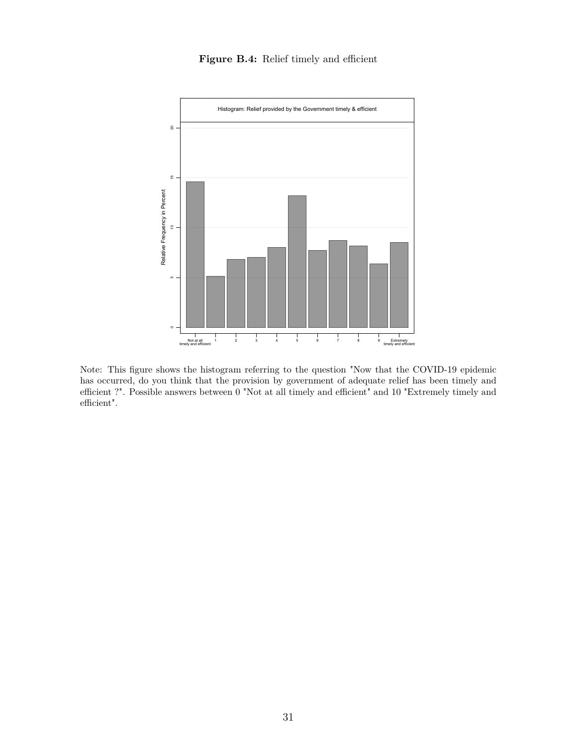#### Figure B.4: Relief timely and efficient



Note: This figure shows the histogram referring to the question "Now that the COVID-19 epidemic has occurred, do you think that the provision by government of adequate relief has been timely and efficient ?". Possible answers between 0 "Not at all timely and efficient" and 10 "Extremely timely and efficient".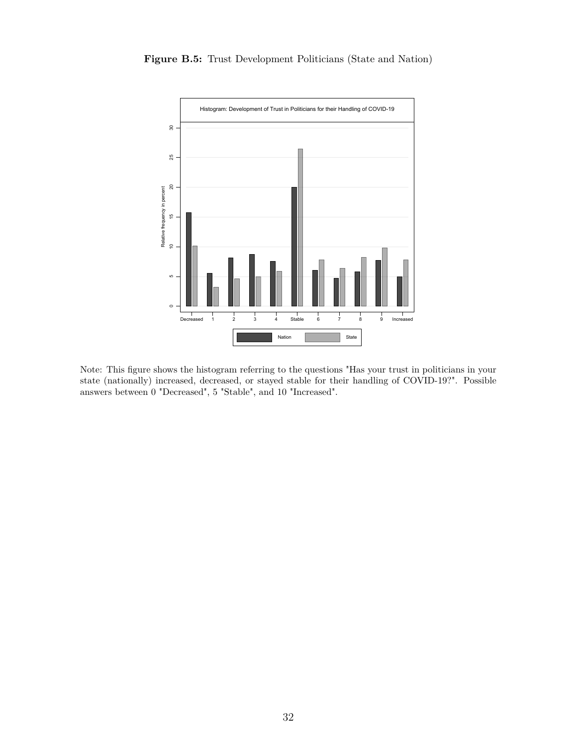



Note: This figure shows the histogram referring to the questions "Has your trust in politicians in your state (nationally) increased, decreased, or stayed stable for their handling of COVID-19?". Possible answers between 0 "Decreased", 5 "Stable", and 10 "Increased".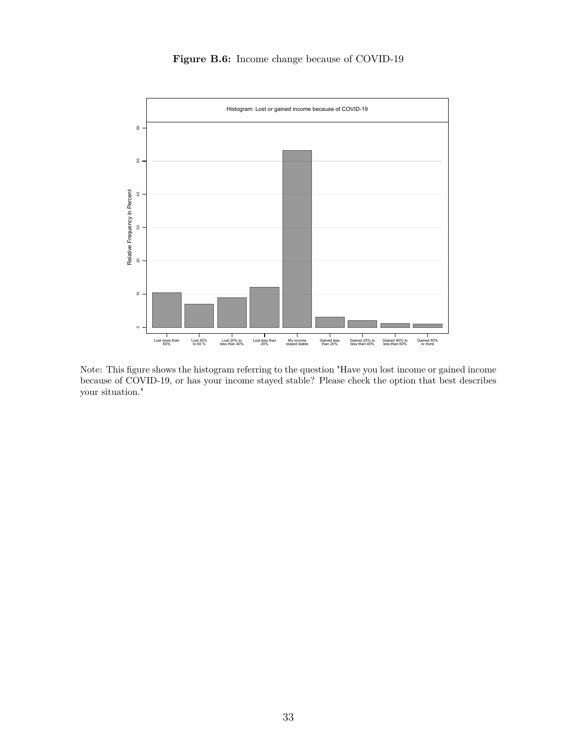**Figure B.6:** Income change because of COVID-19



Note: This figure shows the histogram referring to the question "Have you lost income or gained income because of COVID-19, or has your income stayed stable? Please check the option that best describes your situation."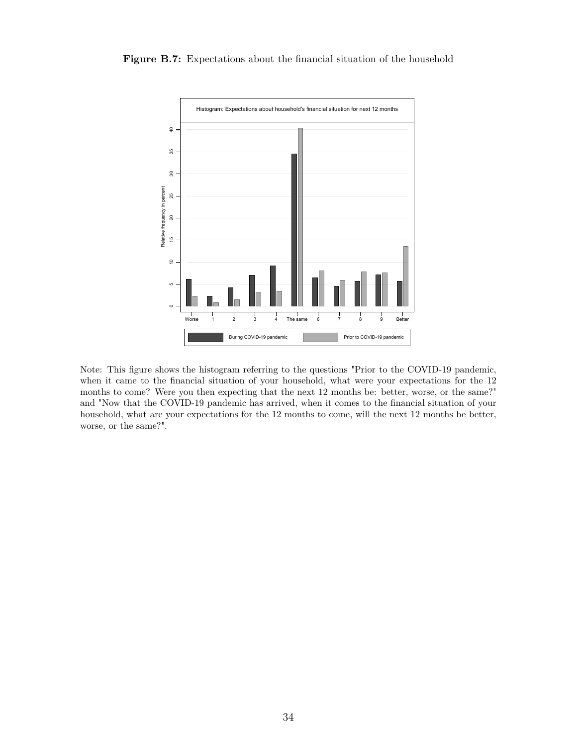**Figure B.7:** Expectations about the financial situation of the household



Note: This figure shows the histogram referring to the questions "Prior to the COVID-19 pandemic, when it came to the financial situation of your household, what were your expectations for the 12 months to come? Were you then expecting that the next 12 months be: better, worse, or the same?" and "Now that the COVID-19 pandemic has arrived, when it comes to the financial situation of your household, what are your expectations for the 12 months to come, will the next 12 months be better, worse, or the same?".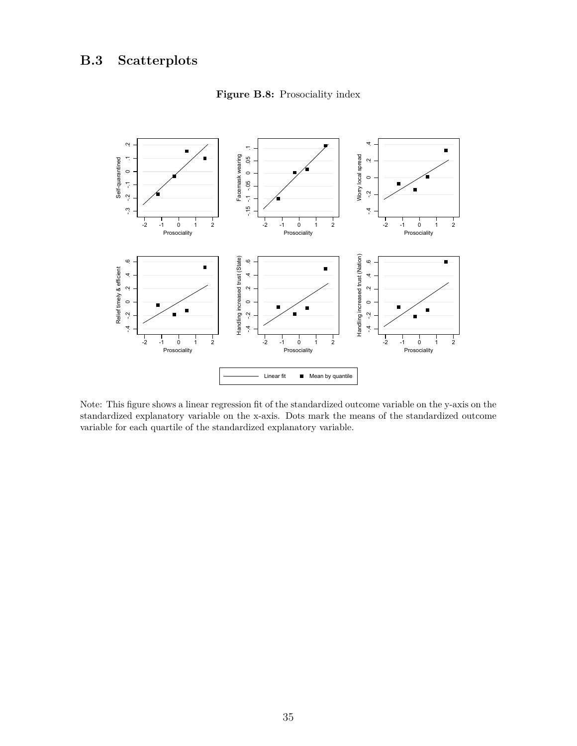

**Figure B.8:** Prosociality index

Note: This figure shows a linear regression fit of the standardized outcome variable on the y-axis on the standardized explanatory variable on the x-axis. Dots mark the means of the standardized outcome variable for each quartile of the standardized explanatory variable.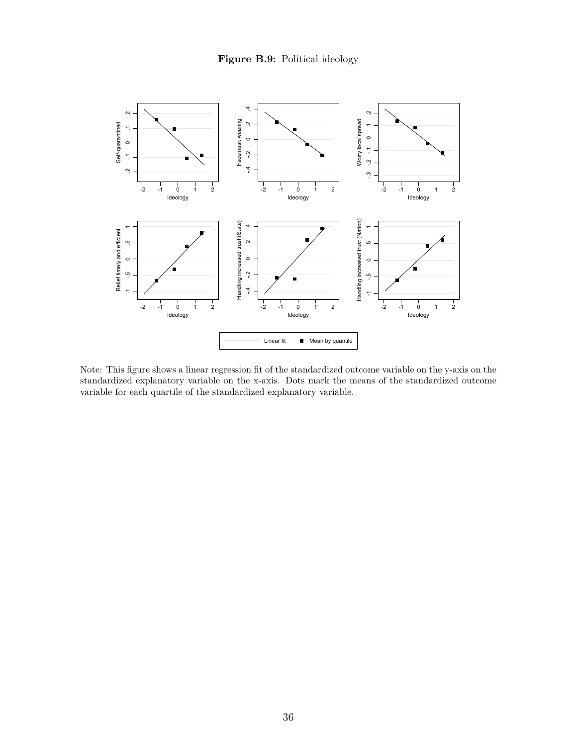

Note: This figure shows a linear regression fit of the standardized outcome variable on the y-axis on the standardized explanatory variable on the x-axis. Dots mark the means of the standardized outcome variable for each quartile of the standardized explanatory variable.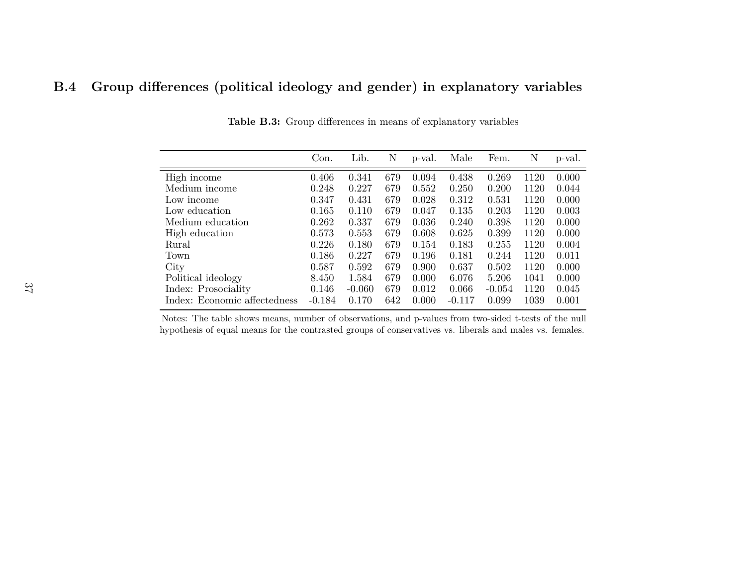## **B.4 Group differences (political ideology and gender) in explanatory variables**

|                              | Con.     | Lib.     | N   | p-val. | Male     | Fem.     | Ν    | p-val. |
|------------------------------|----------|----------|-----|--------|----------|----------|------|--------|
| High income                  | 0.406    | 0.341    | 679 | 0.094  | 0.438    | 0.269    | 1120 | 0.000  |
| Medium income                | 0.248    | 0.227    | 679 | 0.552  | 0.250    | 0.200    | 1120 | 0.044  |
| Low income                   | 0.347    | 0.431    | 679 | 0.028  | 0.312    | 0.531    | 1120 | 0.000  |
| Low education                | 0.165    | 0.110    | 679 | 0.047  | 0.135    | 0.203    | 1120 | 0.003  |
| Medium education             | 0.262    | 0.337    | 679 | 0.036  | 0.240    | 0.398    | 1120 | 0.000  |
| High education               | 0.573    | 0.553    | 679 | 0.608  | 0.625    | 0.399    | 1120 | 0.000  |
| Rural                        | 0.226    | 0.180    | 679 | 0.154  | 0.183    | 0.255    | 1120 | 0.004  |
| Town                         | 0.186    | 0.227    | 679 | 0.196  | 0.181    | 0.244    | 1120 | 0.011  |
| City                         | 0.587    | 0.592    | 679 | 0.900  | 0.637    | 0.502    | 1120 | 0.000  |
| Political ideology           | 8.450    | 1.584    | 679 | 0.000  | 6.076    | 5.206    | 1041 | 0.000  |
| Index: Prosociality          | 0.146    | $-0.060$ | 679 | 0.012  | 0.066    | $-0.054$ | 1120 | 0.045  |
| Index: Economic affectedness | $-0.184$ | 0.170    | 642 | 0.000  | $-0.117$ | 0.099    | 1039 | 0.001  |

**Table B.3:** Group differences in means of explanatory variables

Notes: The table shows means, number of observations, and p-values from two-sided t-tests of the nullhypothesis of equal means for the contrasted groups of conservatives vs. liberals and males vs. females.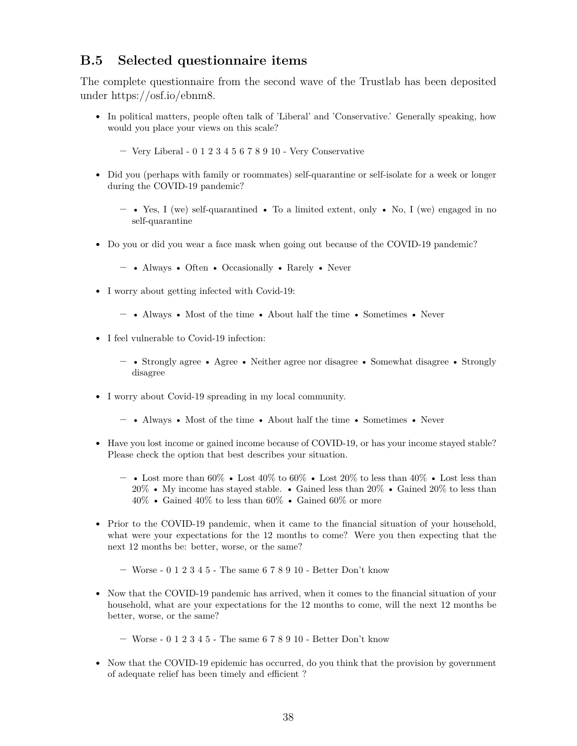### **B.5 Selected questionnaire items**

The complete questionnaire from the second wave of the Trustlab has been deposited under https://osf.io/ebnm8.

- In political matters, people often talk of 'Liberal' and 'Conservative.' Generally speaking, how would you place your views on this scale?
	- **–** Very Liberal 0 1 2 3 4 5 6 7 8 9 10 Very Conservative
- Did you (perhaps with family or roommates) self-quarantine or self-isolate for a week or longer during the COVID-19 pandemic?
	- **–** Yes, I (we) self-quarantined To a limited extent, only No, I (we) engaged in no self-quarantine
- Do you or did you wear a face mask when going out because of the COVID-19 pandemic?
	- **–** Always Often Occasionally Rarely Never
- I worry about getting infected with Covid-19:
	- **–** Always Most of the time About half the time Sometimes Never
- I feel vulnerable to Covid-19 infection:
	- **–** Strongly agree Agree Neither agree nor disagree Somewhat disagree Strongly disagree
- I worry about Covid-19 spreading in my local community.
	- **–** Always Most of the time About half the time Sometimes Never
- Have you lost income or gained income because of COVID-19, or has your income stayed stable? Please check the option that best describes your situation.
	- **–** Lost more than 60% Lost 40% to 60% Lost 20% to less than 40% Lost less than 20% • My income has stayed stable. • Gained less than 20% • Gained 20% to less than  $40\%$  • Gained  $40\%$  to less than  $60\%$  • Gained  $60\%$  or more
- Prior to the COVID-19 pandemic, when it came to the financial situation of your household, what were your expectations for the 12 months to come? Were you then expecting that the next 12 months be: better, worse, or the same?
	- **–** Worse 0 1 2 3 4 5 The same 6 7 8 9 10 Better Don't know
- Now that the COVID-19 pandemic has arrived, when it comes to the financial situation of your household, what are your expectations for the 12 months to come, will the next 12 months be better, worse, or the same?
	- **–** Worse 0 1 2 3 4 5 The same 6 7 8 9 10 Better Don't know
- Now that the COVID-19 epidemic has occurred, do you think that the provision by government of adequate relief has been timely and efficient ?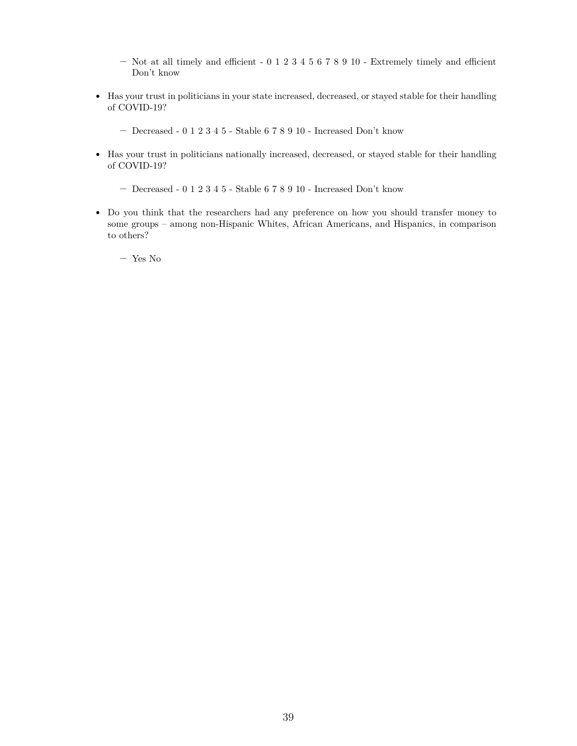- **–** Not at all timely and efficient 0 1 2 3 4 5 6 7 8 9 10 Extremely timely and efficient Don't know
- Has your trust in politicians in your state increased, decreased, or stayed stable for their handling of COVID-19?
	- **–** Decreased 0 1 2 3 4 5 Stable 6 7 8 9 10 Increased Don't know
- Has your trust in politicians nationally increased, decreased, or stayed stable for their handling of COVID-19?
	- **–** Decreased 0 1 2 3 4 5 Stable 6 7 8 9 10 Increased Don't know
- Do you think that the researchers had any preference on how you should transfer money to some groups – among non-Hispanic Whites, African Americans, and Hispanics, in comparison to others?
	- **–** Yes No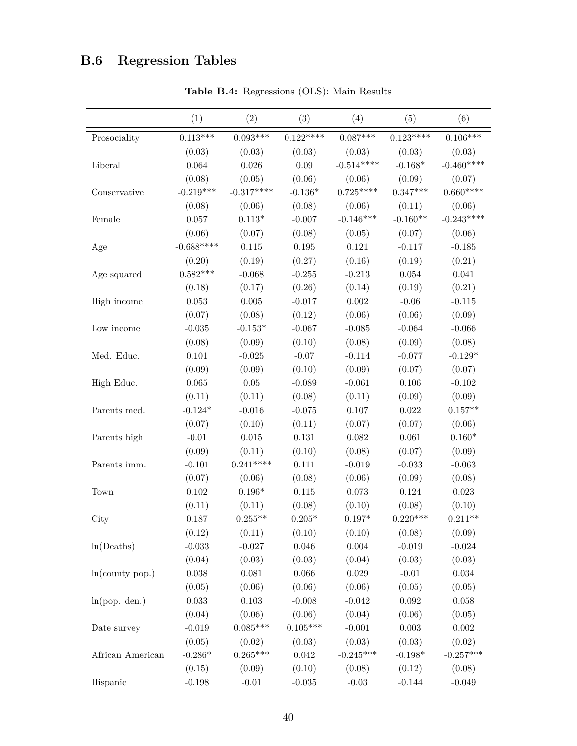## **B.6 Regression Tables**

|                  | (1)         | (2)                  | (3)             | (4)             | (5)                  | (6)                 |
|------------------|-------------|----------------------|-----------------|-----------------|----------------------|---------------------|
| Prosociality     | $0.113***$  | $0.093***$           | $0.122***$      | $0.087***$      | $0.123***$           | $0.106***$          |
|                  | (0.03)      | (0.03)               | (0.03)          | (0.03)          | (0.03)               | (0.03)              |
| Liberal          | 0.064       | 0.026                | 0.09            | $-0.514***$     | $-0.168*$            | $-0.460***$         |
|                  | (0.08)      | (0.05)               | (0.06)          | (0.06)          | (0.09)               | (0.07)              |
| Conservative     | $-0.219***$ | $-0.317***$          | $-0.136^*$      | $0.725***$      | $0.347***$           | $0.660***$          |
|                  | (0.08)      | (0.06)               | (0.08)          | (0.06)          | (0.11)               | (0.06)              |
| Female           | 0.057       | $0.113*$             | $-0.007$        | $-0.146***$     | $-0.160**$           | $-0.243***$         |
|                  | (0.06)      | (0.07)               | (0.08)          | (0.05)          | (0.07)               | (0.06)              |
| Age              | $-0.688***$ | 0.115                | $0.195\,$       | 0.121           | $-0.117$             | $-0.185$            |
|                  | (0.20)      | (0.19)               | (0.27)          | (0.16)          | (0.19)               | (0.21)              |
| Age squared      | $0.582***$  | $-0.068$             | $-0.255$        | $-0.213$        | 0.054                | 0.041               |
|                  | (0.18)      | (0.17)               | (0.26)          | (0.14)          | (0.19)               | (0.21)              |
| High income      | 0.053       | 0.005                | $-0.017$        | 0.002           | $-0.06$              | $-0.115$            |
|                  | (0.07)      | (0.08)               | (0.12)          | (0.06)          | (0.06)               | (0.09)              |
| Low income       | $-0.035$    | $-0.153*$            | $-0.067$        | $-0.085$        | $-0.064$             | $-0.066$            |
|                  | (0.08)      | (0.09)               | (0.10)          | (0.08)          | (0.09)               | (0.08)              |
| Med. Educ.       | $0.101\,$   | $-0.025$             | $-0.07$         | $-0.114$        | $-0.077$             | $-0.129*$           |
|                  | (0.09)      | (0.09)               | (0.10)          | (0.09)          | (0.07)               | (0.07)              |
| High Educ.       | 0.065       | $0.05\,$             | $-0.089$        | $-0.061$        | 0.106                | $-0.102$            |
|                  | (0.11)      | (0.11)               | (0.08)          | (0.11)          | (0.09)               | (0.09)              |
| Parents med.     | $-0.124*$   | $-0.016$             | $-0.075$        | 0.107           | 0.022                | $0.157**$           |
|                  | (0.07)      | (0.10)               | (0.11)          | (0.07)          | (0.07)               | (0.06)              |
|                  | $-0.01$     | $\,0.015\,$          | 0.131           | 0.082           | 0.061                | $0.160*$            |
| Parents high     |             |                      |                 |                 |                      |                     |
|                  | (0.09)      | (0.11)<br>$0.241***$ | (0.10)          | (0.08)          | (0.07)               | (0.09)<br>$-0.063$  |
| Parents imm.     | $-0.101$    |                      | 0.111           | $-0.019$        | $-0.033$             |                     |
|                  | (0.07)      | (0.06)               | (0.08)          | (0.06)<br>0.073 | (0.09)<br>0.124      | (0.08)              |
| Town             | 0.102       | $0.196*$             | $0.115\,$       |                 |                      | 0.023               |
|                  | (0.11)      | (0.11)               | (0.08)          | (0.10)          | (0.08)<br>$0.220***$ | (0.10)<br>$0.211**$ |
| City             | 0.187       | $0.255**$            | $0.205*$        | $0.197*$        |                      |                     |
|                  | (0.12)      | (0.11)               | (0.10)          | (0.10)          | (0.08)               | (0.09)              |
| ln(Deaths)       | $-0.033$    | $-0.027$             | $0.046\,$       | $\,0.004\,$     | $-0.019$             | $-0.024$            |
|                  | (0.04)      | (0.03)               | (0.03)          | (0.04)          | (0.03)               | (0.03)              |
| ln(county pop.)  | $0.038\,$   | $\,0.081\,$          | 0.066           | $\,0.029\,$     | $-0.01$              | $\,0.034\,$         |
|                  | (0.05)      | (0.06)               | (0.06)          | (0.06)          | (0.05)               | (0.05)              |
| ln(pop. den.)    | $\,0.033\,$ | $0.103\,$            | $-0.008$        | $-0.042$        | $\,0.092\,$          | $0.058\,$           |
|                  | (0.04)      | (0.06)               | (0.06)          | (0.04)          | (0.06)               | (0.05)              |
| Date survey      | $-0.019$    | $0.085***$           | $0.105***$      | $-0.001$        | $\,0.003\,$          | $0.002\,$           |
|                  | (0.05)      | (0.02)               | (0.03)          | (0.03)          | (0.03)               | (0.02)              |
| African American | $-0.286*$   | $0.265***$           | $0.042\,$       | $-0.245***$     | $-0.198*$            | $-0.257***$         |
|                  | (0.15)      | (0.09)               | (0.10)          | (0.08)          | (0.12)               | (0.08)              |
| Hispanic         | $-0.198$    | $-0.01$              | $\text{-}0.035$ | $-0.03$         | $-0.144$             | $-0.049$            |

**Table B.4:** Regressions (OLS): Main Results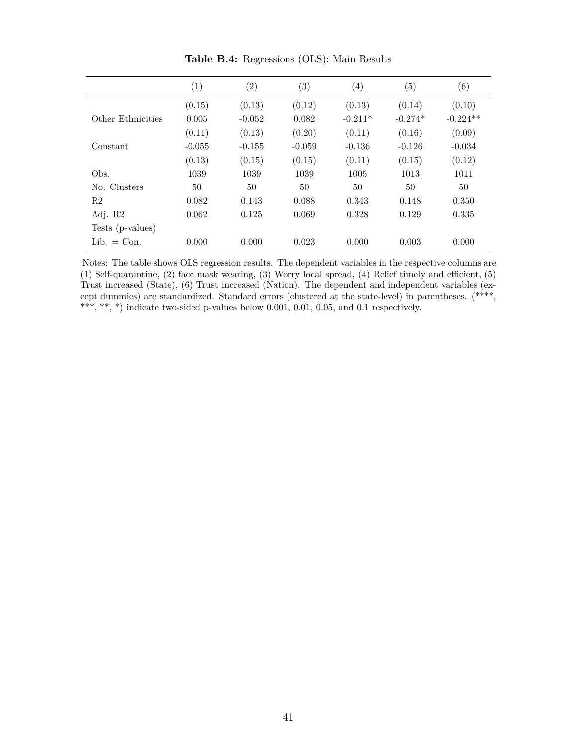|                   | $\left(1\right)$ | $\left( 2\right)$ | $\left( 3\right)$ | $\left( 4\right)$ | (5)       | $\left( 6\right)$ |
|-------------------|------------------|-------------------|-------------------|-------------------|-----------|-------------------|
|                   | (0.15)           | (0.13)            | (0.12)            | (0.13)            | (0.14)    | (0.10)            |
| Other Ethnicities | 0.005            | $-0.052$          | 0.082             | $-0.211*$         | $-0.274*$ | $-0.224**$        |
|                   | (0.11)           | (0.13)            | (0.20)            | (0.11)            | (0.16)    | (0.09)            |
| Constant          | $-0.055$         | $-0.155$          | $-0.059$          | $-0.136$          | $-0.126$  | $-0.034$          |
|                   | (0.13)           | (0.15)            | (0.15)            | (0.11)            | (0.15)    | (0.12)            |
| Obs.              | 1039             | 1039              | 1039              | 1005              | 1013      | 1011              |
| No. Clusters      | 50               | 50                | 50                | 50                | 50        | 50                |
| R <sub>2</sub>    | 0.082            | 0.143             | 0.088             | 0.343             | 0.148     | 0.350             |
| Adj. R2           | 0.062            | 0.125             | 0.069             | 0.328             | 0.129     | 0.335             |
| Tests (p-values)  |                  |                   |                   |                   |           |                   |
| $Lib. = Con.$     | 0.000            | 0.000             | 0.023             | 0.000             | 0.003     | 0.000             |

**Table B.4:** Regressions (OLS): Main Results

Notes: The table shows OLS regression results. The dependent variables in the respective columns are (1) Self-quarantine, (2) face mask wearing, (3) Worry local spread, (4) Relief timely and efficient, (5) Trust increased (State), (6) Trust increased (Nation). The dependent and independent variables (except dummies) are standardized. Standard errors (clustered at the state-level) in parentheses. (\*\*\*\*, \*\*\*, \*\*, \*) indicate two-sided p-values below 0.001, 0.01, 0.05, and 0.1 respectively.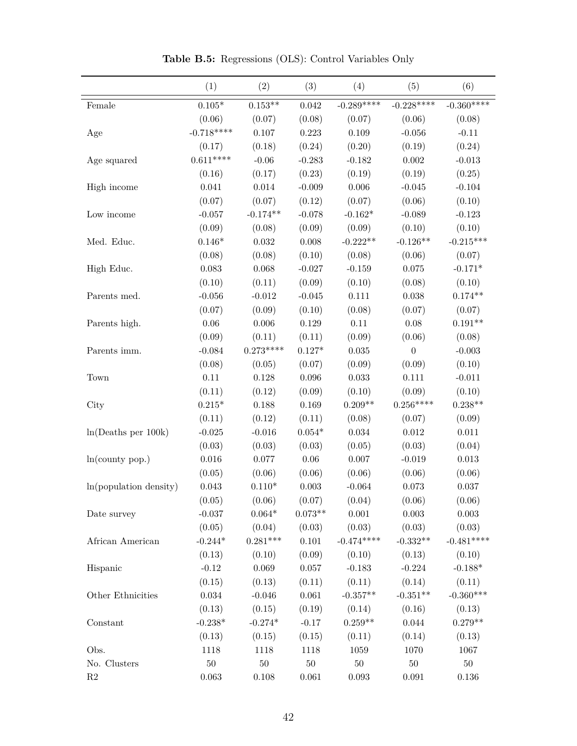|                        | (1)            | (2)            | (3)            | (4)         | (5)              | (6)         |
|------------------------|----------------|----------------|----------------|-------------|------------------|-------------|
| Female                 | $0.105^{\ast}$ | $0.153**$      | 0.042          | $-0.289***$ | $-0.228***$      | $-0.360***$ |
|                        | (0.06)         | (0.07)         | (0.08)         | (0.07)      | (0.06)           | (0.08)      |
| Age                    | $-0.718***$    | $0.107\,$      | 0.223          | 0.109       | $-0.056$         | $-0.11$     |
|                        | (0.17)         | (0.18)         | (0.24)         | (0.20)      | (0.19)           | (0.24)      |
| Age squared            | $0.611***$     | $-0.06$        | $-0.283$       | $-0.182$    | $0.002\,$        | $-0.013$    |
|                        | (0.16)         | (0.17)         | (0.23)         | (0.19)      | (0.19)           | (0.25)      |
| High income            | 0.041          | 0.014          | $-0.009$       | 0.006       | $-0.045$         | $-0.104$    |
|                        | (0.07)         | (0.07)         | (0.12)         | (0.07)      | (0.06)           | (0.10)      |
| Low income             | $-0.057$       | $-0.174**$     | $-0.078$       | $-0.162*$   | $-0.089$         | $-0.123$    |
|                        | (0.09)         | (0.08)         | (0.09)         | (0.09)      | (0.10)           | (0.10)      |
| Med. Educ.             | $0.146*$       | $\,0.032\,$    | 0.008          | $-0.222**$  | $-0.126**$       | $-0.215***$ |
|                        | (0.08)         | (0.08)         | (0.10)         | (0.08)      | (0.06)           | (0.07)      |
| High Educ.             | 0.083          | 0.068          | $-0.027$       | $-0.159$    | 0.075            | $-0.171*$   |
|                        | (0.10)         | (0.11)         | (0.09)         | (0.10)      | (0.08)           | (0.10)      |
| Parents med.           | $-0.056$       | $-0.012$       | $-0.045$       | 0.111       | $0.038\,$        | $0.174**$   |
|                        | (0.07)         | (0.09)         | (0.10)         | (0.08)      | (0.07)           | (0.07)      |
| Parents high.          | $0.06\,$       | 0.006          | 0.129          | $0.11\,$    | 0.08             | $0.191**$   |
|                        | (0.09)         | (0.11)         | (0.11)         | (0.09)      | (0.06)           | (0.08)      |
| Parents imm.           | $-0.084$       | $0.273***$     | $0.127*$       | 0.035       | $\boldsymbol{0}$ | $-0.003$    |
|                        | (0.08)         | (0.05)         | (0.07)         | (0.09)      | (0.09)           | (0.10)      |
| Town                   | $0.11\,$       | 0.128          | 0.096          | 0.033       | 0.111            | $-0.011$    |
|                        | (0.11)         | (0.12)         | (0.09)         | (0.10)      | (0.09)           | (0.10)      |
| City                   | $0.215*$       | 0.188          | 0.169          | $0.209**$   | $0.256***$       | $0.238**$   |
|                        | (0.11)         | (0.12)         | (0.11)         | (0.08)      | (0.07)           | (0.09)      |
| ln(Deaths per 100k)    | $-0.025$       | $-0.016$       | $0.054^{\ast}$ | 0.034       | $\,0.012\,$      | 0.011       |
|                        | (0.03)         | (0.03)         | (0.03)         | (0.05)      | (0.03)           | (0.04)      |
| ln(county pop.)        | $\,0.016\,$    | 0.077          | $0.06\,$       | 0.007       | $-0.019$         | $\,0.013\,$ |
|                        | (0.05)         | (0.06)         | (0.06)         | (0.06)      | (0.06)           | (0.06)      |
| ln(population density) | $\,0.043\,$    | $0.110*$       | $\,0.003\,$    | $-0.064$    | $0.073\,$        | 0.037       |
|                        | (0.05)         | (0.06)         | (0.07)         | (0.04)      | (0.06)           | (0.06)      |
| Date survey            | $-0.037$       | $0.064^{\ast}$ | $0.073**$      | 0.001       | $0.003\,$        | $0.003\,$   |
|                        | (0.05)         | (0.04)         | (0.03)         | (0.03)      | (0.03)           | (0.03)      |
| African American       | $-0.244*$      | $0.281***$     | $0.101\,$      | $-0.474***$ | $-0.332**$       | $-0.481***$ |
|                        | (0.13)         | (0.10)         | (0.09)         | (0.10)      | (0.13)           | (0.10)      |
| Hispanic               | $-0.12$        | 0.069          | $0.057\,$      | $-0.183$    | $-0.224$         | $-0.188*$   |
|                        | (0.15)         | (0.13)         | (0.11)         | (0.11)      | (0.14)           | (0.11)      |
| Other Ethnicities      | $\,0.034\,$    | $-0.046$       | $\,0.061\,$    | $-0.357**$  | $-0.351**$       | $-0.360***$ |
|                        | (0.13)         | (0.15)         | (0.19)         | (0.14)      | (0.16)           | (0.13)      |
| Constant               | $-0.238*$      | $-0.274*$      | $-0.17$        | $0.259**$   | 0.044            | $0.279**$   |
|                        | (0.13)         | (0.15)         | (0.15)         | (0.11)      | (0.14)           | (0.13)      |
| Obs.                   | 1118           | 1118           | 1118           | 1059        | 1070             | 1067        |
| No. Clusters           | $50\,$         | $50\,$         | $50\,$         | 50          | $50\,$           | $50\,$      |
| $\mathbf{R}2$          | 0.063          | $0.108\,$      | 0.061          | $\,0.093\,$ | $\,0.091\,$      | $0.136\,$   |

**Table B.5:** Regressions (OLS): Control Variables Only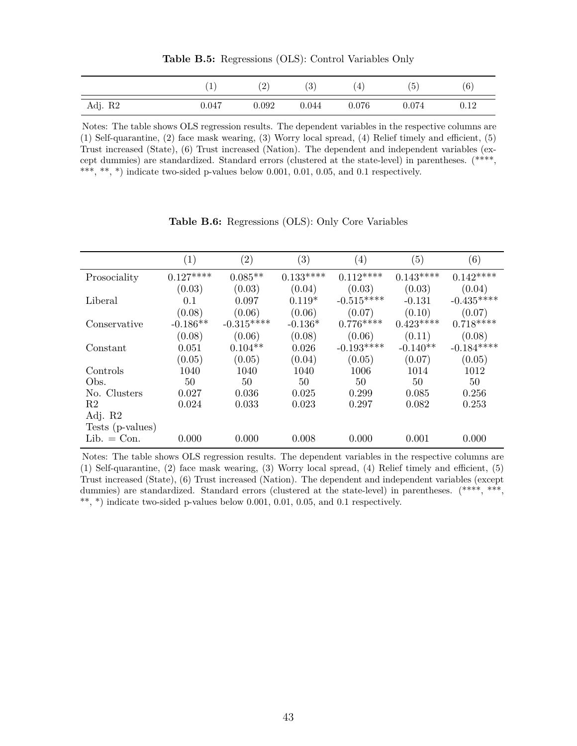|         | <b>T</b> | $^{'}2$ | (3)   | $\overline{4}$ | (5    | (6)  |
|---------|----------|---------|-------|----------------|-------|------|
| Adj. R2 | 0.047    | 0.092   | 0.044 | 0.076          | 0.074 | 0.12 |

**Table B.5:** Regressions (OLS): Control Variables Only

Notes: The table shows OLS regression results. The dependent variables in the respective columns are (1) Self-quarantine, (2) face mask wearing, (3) Worry local spread, (4) Relief timely and efficient, (5) Trust increased (State), (6) Trust increased (Nation). The dependent and independent variables (except dummies) are standardized. Standard errors (clustered at the state-level) in parentheses. (\*\*\*\*, \*\*\*, \*\*, \*) indicate two-sided p-values below 0.001, 0.01, 0.05, and 0.1 respectively.

|                  | (1)        | $\left( 2\right)$ | $\left( 3\right)$ | $\left( 4\right)$ | (5)        | (6)         |
|------------------|------------|-------------------|-------------------|-------------------|------------|-------------|
| Prosociality     | $0.127***$ | $0.085**$         | $0.133***$        | $0.112***$        | $0.143***$ | $0.142***$  |
|                  | (0.03)     | (0.03)            | (0.04)            | (0.03)            | (0.03)     | (0.04)      |
| Liberal          | 0.1        | 0.097             | $0.119*$          | $-0.515***$       | $-0.131$   | $-0.435***$ |
|                  | (0.08)     | (0.06)            | (0.06)            | (0.07)            | (0.10)     | (0.07)      |
| Conservative     | $-0.186**$ | $-0.315***$       | $-0.136*$         | $0.776***$        | $0.423***$ | $0.718***$  |
|                  | (0.08)     | (0.06)            | (0.08)            | (0.06)            | (0.11)     | (0.08)      |
| Constant         | 0.051      | $0.104**$         | 0.026             | $-0.193***$       | $-0.140**$ | $-0.184***$ |
|                  | (0.05)     | (0.05)            | (0.04)            | (0.05)            | (0.07)     | (0.05)      |
| Controls         | 1040       | 1040              | 1040              | 1006              | 1014       | 1012        |
| Obs.             | 50         | 50                | 50                | 50                | 50         | 50          |
| No. Clusters     | 0.027      | 0.036             | 0.025             | 0.299             | 0.085      | 0.256       |
| R <sub>2</sub>   | 0.024      | 0.033             | 0.023             | 0.297             | 0.082      | 0.253       |
| Adj. R2          |            |                   |                   |                   |            |             |
| Tests (p-values) |            |                   |                   |                   |            |             |
| $Lib. = Con.$    | 0.000      | 0.000             | 0.008             | 0.000             | 0.001      | 0.000       |

**Table B.6:** Regressions (OLS): Only Core Variables

Notes: The table shows OLS regression results. The dependent variables in the respective columns are (1) Self-quarantine, (2) face mask wearing, (3) Worry local spread, (4) Relief timely and efficient, (5) Trust increased (State), (6) Trust increased (Nation). The dependent and independent variables (except dummies) are standardized. Standard errors (clustered at the state-level) in parentheses. (\*\*\*\*, \*\*\*, \*\*, \*) indicate two-sided p-values below 0.001, 0.01, 0.05, and 0.1 respectively.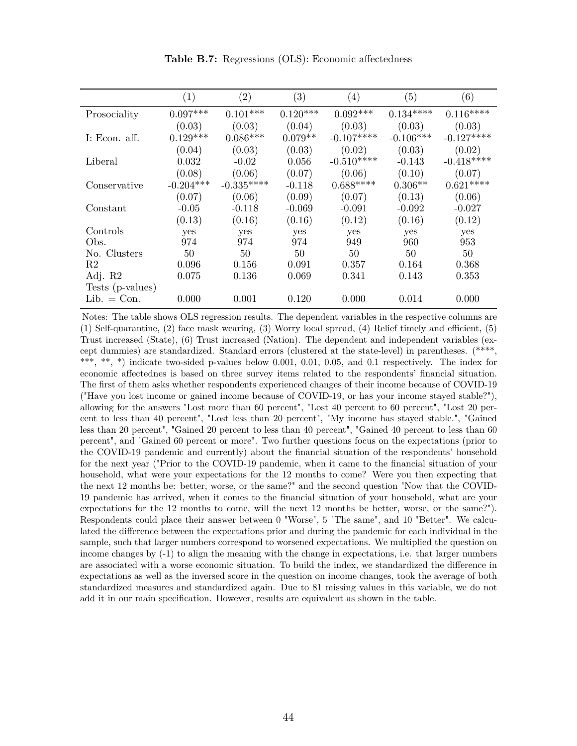|                  | $\left( 1\right)$ | $\left( 2\right)$ | (3)        | $\left( 4\right)$ | (5)         | (6)         |
|------------------|-------------------|-------------------|------------|-------------------|-------------|-------------|
| Prosociality     | $0.097***$        | $0.101***$        | $0.120***$ | $0.092***$        | $0.134***$  | $0.116***$  |
|                  | (0.03)            | (0.03)            | (0.04)     | (0.03)            | (0.03)      | (0.03)      |
| I: Econ. aff.    | $0.129***$        | $0.086***$        | $0.079**$  | $-0.107***$       | $-0.106***$ | $-0.127***$ |
|                  | (0.04)            | (0.03)            | (0.03)     | (0.02)            | (0.03)      | (0.02)      |
| Liberal          | 0.032             | $-0.02$           | 0.056      | $-0.510***$       | $-0.143$    | $-0.418***$ |
|                  | (0.08)            | (0.06)            | (0.07)     | (0.06)            | (0.10)      | (0.07)      |
| Conservative     | $-0.204***$       | $-0.335***$       | $-0.118$   | $0.688***$        | $0.306**$   | $0.621***$  |
|                  | (0.07)            | (0.06)            | (0.09)     | (0.07)            | (0.13)      | (0.06)      |
| Constant         | $-0.05$           | $-0.118$          | $-0.069$   | $-0.091$          | $-0.092$    | $-0.027$    |
|                  | (0.13)            | (0.16)            | (0.16)     | (0.12)            | (0.16)      | (0.12)      |
| Controls         | yes               | yes               | yes        | yes               | yes         | yes         |
| Obs.             | 974               | 974               | 974        | 949               | 960         | 953         |
| No. Clusters     | 50                | 50                | 50         | 50                | 50          | 50          |
| R2               | 0.096             | 0.156             | 0.091      | 0.357             | 0.164       | 0.368       |
| Adj. R2          | 0.075             | 0.136             | 0.069      | 0.341             | 0.143       | 0.353       |
| Tests (p-values) |                   |                   |            |                   |             |             |
| $Lib. = Con.$    | 0.000             | 0.001             | 0.120      | 0.000             | 0.014       | 0.000       |

**Table B.7:** Regressions (OLS): Economic affectedness

Notes: The table shows OLS regression results. The dependent variables in the respective columns are (1) Self-quarantine, (2) face mask wearing, (3) Worry local spread, (4) Relief timely and efficient, (5) Trust increased (State), (6) Trust increased (Nation). The dependent and independent variables (except dummies) are standardized. Standard errors (clustered at the state-level) in parentheses. (\*\*\*\*, \*\*\*, \*\*, \*) indicate two-sided p-values below 0.001, 0.01, 0.05, and 0.1 respectively. The index for economic affectednes is based on three survey items related to the respondents' financial situation. The first of them asks whether respondents experienced changes of their income because of COVID-19 ("Have you lost income or gained income because of COVID-19, or has your income stayed stable?"), allowing for the answers "Lost more than 60 percent", "Lost 40 percent to 60 percent", "Lost 20 percent to less than 40 percent", "Lost less than 20 percent", "My income has stayed stable.", "Gained less than 20 percent", "Gained 20 percent to less than 40 percent", "Gained 40 percent to less than 60 percent", and "Gained 60 percent or more". Two further questions focus on the expectations (prior to the COVID-19 pandemic and currently) about the financial situation of the respondents' household for the next year ("Prior to the COVID-19 pandemic, when it came to the financial situation of your household, what were your expectations for the 12 months to come? Were you then expecting that the next 12 months be: better, worse, or the same?" and the second question "Now that the COVID-19 pandemic has arrived, when it comes to the financial situation of your household, what are your expectations for the 12 months to come, will the next 12 months be better, worse, or the same?"). Respondents could place their answer between 0 "Worse", 5 "The same", and 10 "Better". We calculated the difference between the expectations prior and during the pandemic for each individual in the sample, such that larger numbers correspond to worsened expectations. We multiplied the question on income changes by (-1) to align the meaning with the change in expectations, i.e. that larger numbers are associated with a worse economic situation. To build the index, we standardized the difference in expectations as well as the inversed score in the question on income changes, took the average of both standardized measures and standardized again. Due to 81 missing values in this variable, we do not add it in our main specification. However, results are equivalent as shown in the table.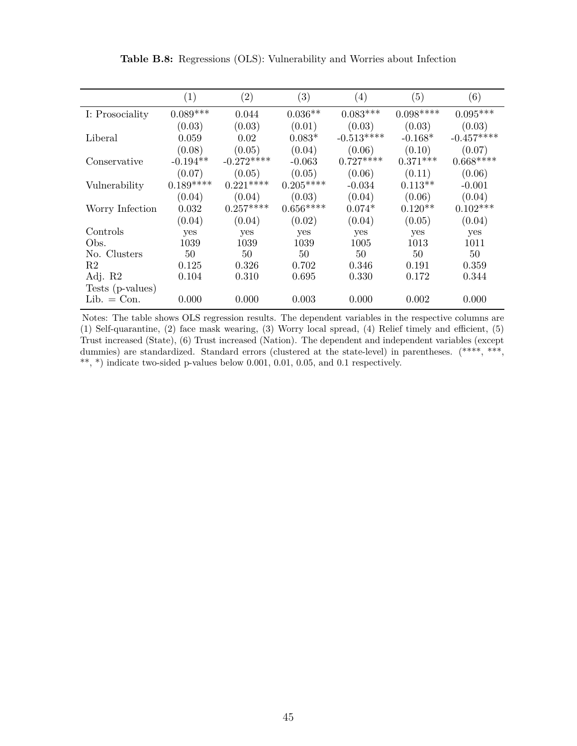|                  | (1)        | $\left( 2\right)$ | $\left( 3\right)$ | $\left( 4\right)$ | (5)        | (6)         |
|------------------|------------|-------------------|-------------------|-------------------|------------|-------------|
| I: Prosociality  | $0.089***$ | 0.044             | $0.036**$         | $0.083***$        | $0.098***$ | $0.095***$  |
|                  | (0.03)     | (0.03)            | (0.01)            | (0.03)            | (0.03)     | (0.03)      |
| Liberal          | 0.059      | 0.02              | $0.083*$          | $-0.513***$       | $-0.168*$  | $-0.457***$ |
|                  | (0.08)     | (0.05)            | (0.04)            | (0.06)            | (0.10)     | (0.07)      |
| Conservative     | $-0.194**$ | $-0.272***$       | $-0.063$          | $0.727***$        | $0.371***$ | $0.668***$  |
|                  | (0.07)     | (0.05)            | (0.05)            | (0.06)            | (0.11)     | (0.06)      |
| Vulnerability    | $0.189***$ | $0.221***$        | $0.205***$        | $-0.034$          | $0.113**$  | $-0.001$    |
|                  | (0.04)     | (0.04)            | (0.03)            | (0.04)            | (0.06)     | (0.04)      |
| Worry Infection  | 0.032      | $0.257***$        | $0.656***$        | $0.074*$          | $0.120**$  | $0.102***$  |
|                  | (0.04)     | (0.04)            | (0.02)            | (0.04)            | (0.05)     | (0.04)      |
| Controls         | yes        | yes               | yes               | yes               | yes        | yes         |
| Obs.             | 1039       | 1039              | 1039              | 1005              | 1013       | 1011        |
| No. Clusters     | 50         | 50                | 50                | 50                | 50         | 50          |
| R2               | 0.125      | 0.326             | 0.702             | 0.346             | 0.191      | 0.359       |
| Adj. R2          | 0.104      | 0.310             | 0.695             | 0.330             | 0.172      | 0.344       |
| Tests (p-values) |            |                   |                   |                   |            |             |
| $Lib. = Con.$    | 0.000      | 0.000             | 0.003             | 0.000             | 0.002      | 0.000       |

**Table B.8:** Regressions (OLS): Vulnerability and Worries about Infection

Notes: The table shows OLS regression results. The dependent variables in the respective columns are (1) Self-quarantine, (2) face mask wearing, (3) Worry local spread, (4) Relief timely and efficient, (5) Trust increased (State), (6) Trust increased (Nation). The dependent and independent variables (except dummies) are standardized. Standard errors (clustered at the state-level) in parentheses. (\*\*\*\*, \*\*\*,  $^{**},$   $^{*})$  indicate two-sided p-values below 0.001, 0.01, 0.05, and 0.1 respectively.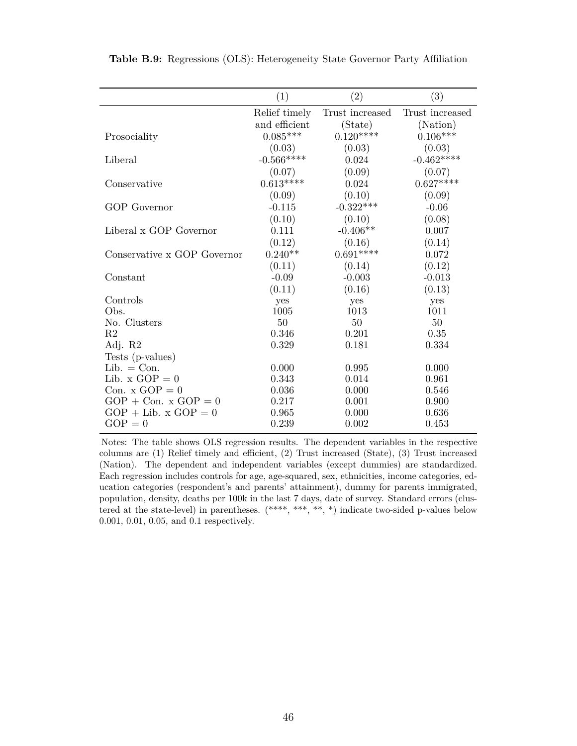|                                                  | (1)            | (2)             | (3)             |
|--------------------------------------------------|----------------|-----------------|-----------------|
|                                                  | Relief timely  | Trust increased | Trust increased |
|                                                  | and efficient  | (State)         | (Nation)        |
| Prosociality                                     | $0.085***$     | $0.120***$      | $0.106***$      |
|                                                  | (0.03)         | (0.03)          | (0.03)          |
| Liberal                                          | $-0.566***$    | 0.024           | $-0.462***$     |
|                                                  | (0.07)         | (0.09)          | (0.07)          |
| Conservative                                     | $0.613***$     | 0.024           | $0.627***$      |
|                                                  | (0.09)         | (0.10)          | (0.09)          |
| <b>GOP</b> Governor                              | $-0.115$       | $-0.322***$     | $-0.06$         |
|                                                  | (0.10)         | (0.10)          | (0.08)          |
| Liberal x GOP Governor                           | 0.111          | $-0.406**$      | 0.007           |
|                                                  | (0.12)         | (0.16)          | (0.14)          |
| Conservative x GOP Governor                      | $0.240**$      | $0.691***$      | 0.072           |
|                                                  | (0.11)         | (0.14)          | (0.12)          |
| Constant                                         | $-0.09$        | $-0.003$        | $-0.013$        |
|                                                  | (0.11)         | (0.16)          | (0.13)          |
| Controls                                         | yes            | yes             | yes             |
| Obs.                                             | 1005           | 1013            | 1011            |
| No. Clusters                                     | 50             | 50              | 50              |
| R <sub>2</sub>                                   | 0.346          | 0.201           | 0.35            |
| Adj. R2                                          | 0.329          | 0.181           | 0.334           |
| Tests (p-values)                                 |                |                 |                 |
| $Lib. = Con.$                                    | 0.000          | 0.995           | 0.000           |
| Lib. $x \text{ GOP} = 0$                         | 0.343          | 0.014           | 0.961           |
| Con. $x \text{ GOP} = 0$                         | 0.036          | 0.000           | 0.546           |
| $GOP + Con. x GOP = 0$<br>$GOP + Lib. x GOP = 0$ | 0.217          | 0.001           | 0.900<br>0.636  |
| $GOP = 0$                                        | 0.965<br>0.239 | 0.000<br>0.002  | 0.453           |
|                                                  |                |                 |                 |

**Table B.9:** Regressions (OLS): Heterogeneity State Governor Party Affiliation

Notes: The table shows OLS regression results. The dependent variables in the respective columns are (1) Relief timely and efficient, (2) Trust increased (State), (3) Trust increased (Nation). The dependent and independent variables (except dummies) are standardized. Each regression includes controls for age, age-squared, sex, ethnicities, income categories, education categories (respondent's and parents' attainment), dummy for parents immigrated, population, density, deaths per 100k in the last 7 days, date of survey. Standard errors (clustered at the state-level) in parentheses. (\*\*\*\*, \*\*\*, \*\*, \*) indicate two-sided p-values below 0.001, 0.01, 0.05, and 0.1 respectively.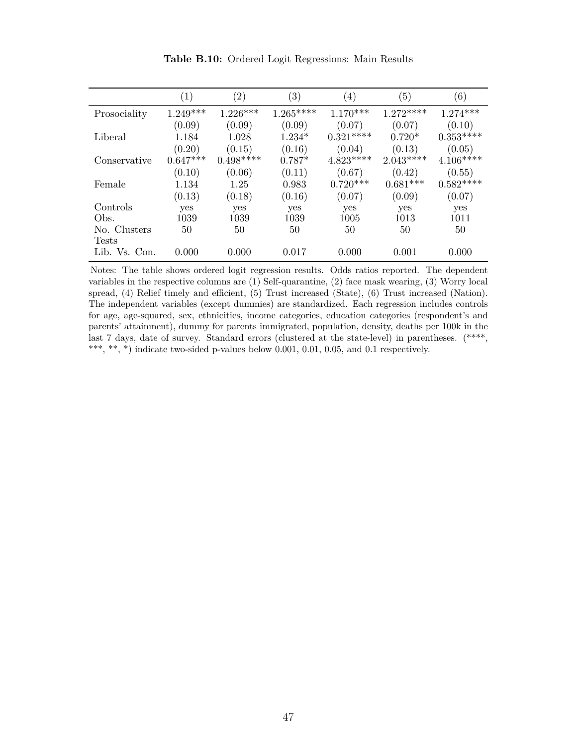|               | $\left( 1\right)$ | $\left( 2\right)$ | $\left( 3\right)$ | $\left( 4\right)$ | (5)        | $\left(6\right)$ |
|---------------|-------------------|-------------------|-------------------|-------------------|------------|------------------|
| Prosociality  | $1.249***$        | $1.226***$        | $1.265***$        | $1.170***$        | $1.272***$ | $1.274***$       |
|               | (0.09)            | (0.09)            | (0.09)            | (0.07)            | (0.07)     | (0.10)           |
| Liberal       | 1.184             | 1.028             | $1.234*$          | $0.321***$        | $0.720*$   | $0.353***$       |
|               | (0.20)            | (0.15)            | (0.16)            | (0.04)            | (0.13)     | (0.05)           |
| Conservative  | $0.647***$        | $0.498***$        | $0.787*$          | $4.823***$        | $2.043***$ | $4.106***$       |
|               | (0.10)            | (0.06)            | (0.11)            | (0.67)            | (0.42)     | (0.55)           |
| Female        | 1.134             | 1.25              | 0.983             | $0.720***$        | $0.681***$ | $0.582***$       |
|               | (0.13)            | (0.18)            | (0.16)            | (0.07)            | (0.09)     | (0.07)           |
| Controls      | yes               | yes               | yes               | yes               | yes        | yes              |
| Obs.          | 1039              | 1039              | 1039              | 1005              | 1013       | 1011             |
| No. Clusters  | 50                | 50                | 50                | 50                | 50         | 50               |
| <b>Tests</b>  |                   |                   |                   |                   |            |                  |
| Lib. Vs. Con. | 0.000             | 0.000             | 0.017             | 0.000             | 0.001      | 0.000            |

**Table B.10:** Ordered Logit Regressions: Main Results

Notes: The table shows ordered logit regression results. Odds ratios reported. The dependent variables in the respective columns are (1) Self-quarantine, (2) face mask wearing, (3) Worry local spread, (4) Relief timely and efficient, (5) Trust increased (State), (6) Trust increased (Nation). The independent variables (except dummies) are standardized. Each regression includes controls for age, age-squared, sex, ethnicities, income categories, education categories (respondent's and parents' attainment), dummy for parents immigrated, population, density, deaths per 100k in the last 7 days, date of survey. Standard errors (clustered at the state-level) in parentheses. (\*\*\*\*, \*\*\*, \*\*, \*) indicate two-sided p-values below 0.001, 0.01, 0.05, and 0.1 respectively.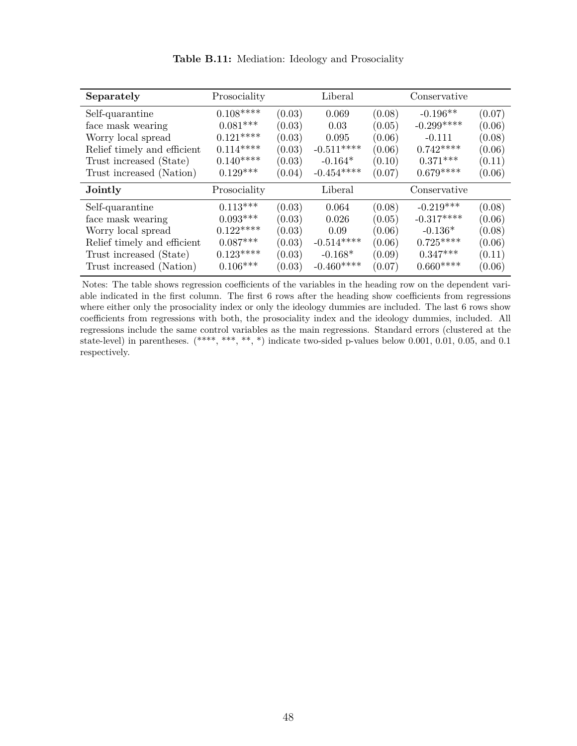| Separately                  | Prosociality    |        | Liberal     |        | Conservative |        |
|-----------------------------|-----------------|--------|-------------|--------|--------------|--------|
| Self-quarantine             | $0.108***$      | (0.03) | 0.069       | (0.08) | $-0.196**$   | (0.07) |
| face mask wearing           | $0.081***$      | (0.03) | 0.03        | (0.05) | $-0.299***$  | (0.06) |
| Worry local spread          | $0.121***$      | (0.03) | 0.095       | (0.06) | $-0.111$     | (0.08) |
| Relief timely and efficient | $0.114***$      | (0.03) | $-0.511***$ | (0.06) | $0.742***$   | (0.06) |
| Trust increased (State)     | $0.140***$      | (0.03) | $-0.164*$   | (0.10) | $0.371***$   | (0.11) |
| Trust increased (Nation)    | $0.129***$      | (0.04) | $-0.454***$ | (0.07) | $0.679***$   | (0.06) |
| Jointly                     | Prosociality    |        | Liberal     |        | Conservative |        |
| Self-quarantine             | $0.113***$      | (0.03) | 0.064       | (0.08) | $-0.219***$  | (0.08) |
| face mask wearing           | $0.093***$      | (0.03) | 0.026       | (0.05) | $-0.317***$  | (0.06) |
| Worry local spread          | $0.122***$      | (0.03) | 0.09        | (0.06) | $-0.136*$    | (0.08) |
| Relief timely and efficient | $0.087***$      | (0.03) | $-0.514***$ | (0.06) | $0.725***$   | (0.06) |
| Trust increased (State)     | $0.123***$      | (0.03) | $-0.168*$   | (0.09) | $0.347***$   | (0.11) |
| Trust increased (Nation)    | $0.106^{***}\,$ | (0.03) | $-0.460***$ | (0.07) | $0.660***$   | (0.06) |

**Table B.11:** Mediation: Ideology and Prosociality

Notes: The table shows regression coefficients of the variables in the heading row on the dependent variable indicated in the first column. The first 6 rows after the heading show coefficients from regressions where either only the prosociality index or only the ideology dummies are included. The last 6 rows show coefficients from regressions with both, the prosociality index and the ideology dummies, included. All regressions include the same control variables as the main regressions. Standard errors (clustered at the state-level) in parentheses. (\*\*\*\*, \*\*\*, \*\*, \*) indicate two-sided p-values below 0.001, 0.01, 0.05, and 0.1 respectively.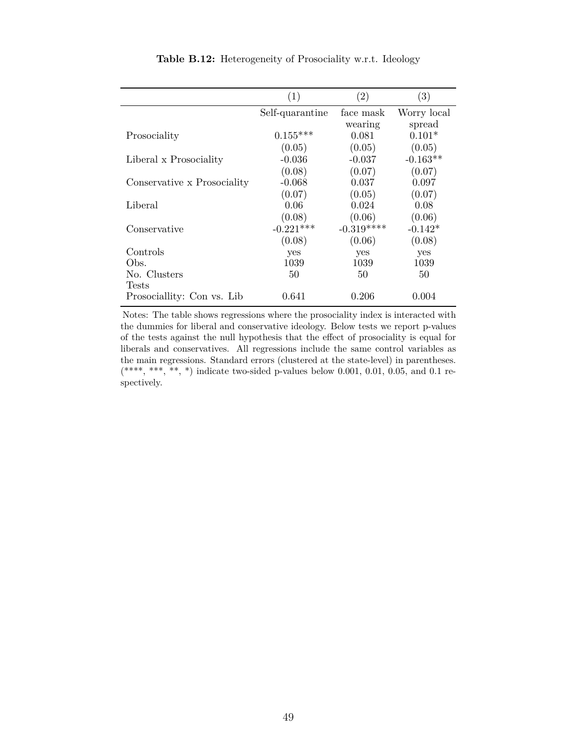|                             | (1)             | $\left( 2\right)$ | $\left( 3\right)$ |
|-----------------------------|-----------------|-------------------|-------------------|
|                             | Self-quarantine | face mask         | Worry local       |
|                             |                 | wearing           | spread            |
| Prosociality                | $0.155***$      | 0.081             | $0.101*$          |
|                             | (0.05)          | (0.05)            | (0.05)            |
| Liberal x Prosociality      | $-0.036$        | $-0.037$          | $-0.163**$        |
|                             | (0.08)          | (0.07)            | (0.07)            |
| Conservative x Prosociality | $-0.068$        | 0.037             | 0.097             |
|                             | (0.07)          | (0.05)            | (0.07)            |
| Liberal                     | 0.06            | 0.024             | 0.08              |
|                             | (0.08)          | (0.06)            | (0.06)            |
| Conservative                | $-0.221***$     | $-0.319***$       | $-0.142*$         |
|                             | (0.08)          | (0.06)            | (0.08)            |
| Controls                    | yes             | yes               | yes               |
| Obs.                        | 1039            | 1039              | 1039              |
| No. Clusters                | 50              | 50                | 50                |
| <b>Tests</b>                |                 |                   |                   |
| Prosociallity: Con vs. Lib  | 0.641           | 0.206             | 0.004             |

**Table B.12:** Heterogeneity of Prosociality w.r.t. Ideology

Notes: The table shows regressions where the prosociality index is interacted with the dummies for liberal and conservative ideology. Below tests we report p-values of the tests against the null hypothesis that the effect of prosociality is equal for liberals and conservatives. All regressions include the same control variables as the main regressions. Standard errors (clustered at the state-level) in parentheses.  $(****, **, **, *)$  indicate two-sided p-values below 0.001, 0.01, 0.05, and 0.1 respectively.